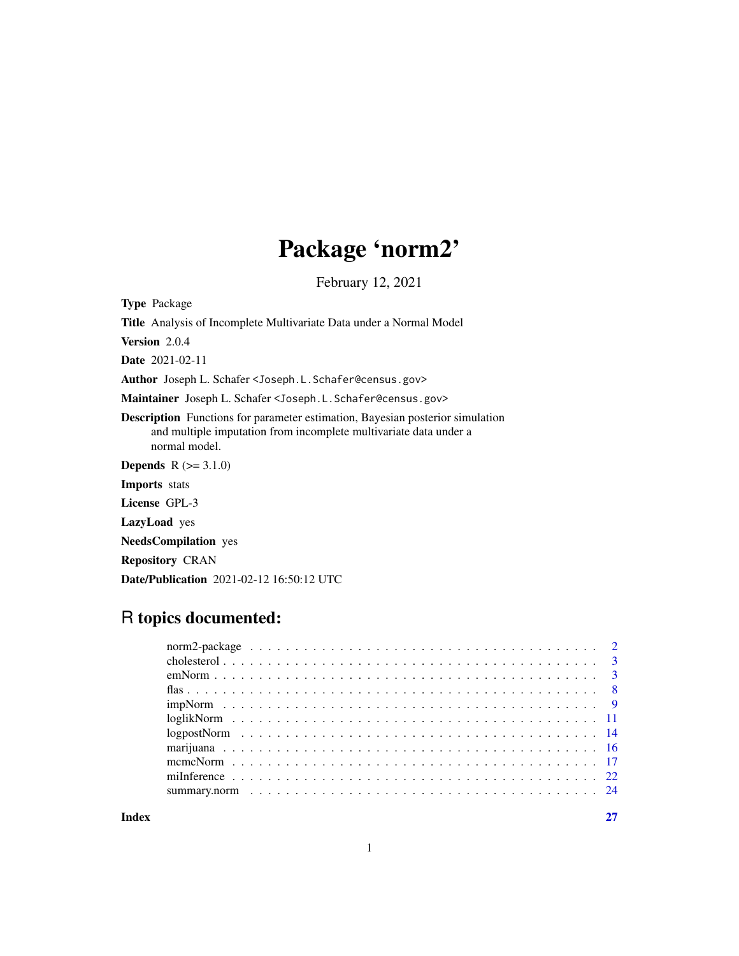## Package 'norm2'

February 12, 2021

<span id="page-0-0"></span>Type Package

Title Analysis of Incomplete Multivariate Data under a Normal Model Version 2.0.4 Date 2021-02-11 Author Joseph L. Schafer <Joseph.L.Schafer@census.gov> Maintainer Joseph L. Schafer <Joseph.L.Schafer@census.gov> Description Functions for parameter estimation, Bayesian posterior simulation and multiple imputation from incomplete multivariate data under a normal model. **Depends**  $R (= 3.1.0)$ Imports stats License GPL-3 LazyLoad yes NeedsCompilation yes Repository CRAN

## R topics documented:

Date/Publication 2021-02-12 16:50:12 UTC

**Index** [27](#page-26-0)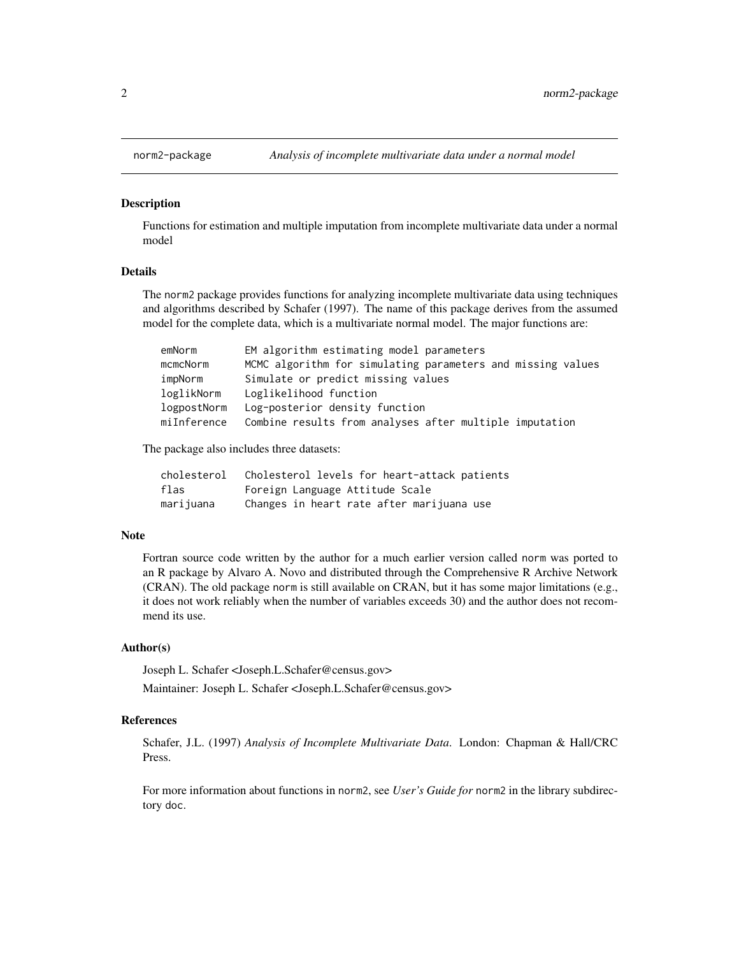#### <span id="page-1-1"></span>**Description**

Functions for estimation and multiple imputation from incomplete multivariate data under a normal model

## Details

The norm2 package provides functions for analyzing incomplete multivariate data using techniques and algorithms described by Schafer (1997). The name of this package derives from the assumed model for the complete data, which is a multivariate normal model. The major functions are:

| emNorm      | EM algorithm estimating model parameters                    |
|-------------|-------------------------------------------------------------|
| mcmcNorm    | MCMC algorithm for simulating parameters and missing values |
| impNorm     | Simulate or predict missing values                          |
| loglikNorm  | Loglikelihood function                                      |
| logpostNorm | Log-posterior density function                              |
| miInference | Combine results from analyses after multiple imputation     |

The package also includes three datasets:

| cholesterol | Cholesterol levels for heart-attack patients |
|-------------|----------------------------------------------|
| flas        | Foreign Language Attitude Scale              |
| marijuana   | Changes in heart rate after marijuana use    |

#### Note

Fortran source code written by the author for a much earlier version called norm was ported to an R package by Alvaro A. Novo and distributed through the Comprehensive R Archive Network (CRAN). The old package norm is still available on CRAN, but it has some major limitations (e.g., it does not work reliably when the number of variables exceeds 30) and the author does not recommend its use.

## Author(s)

Joseph L. Schafer <Joseph.L.Schafer@census.gov>

Maintainer: Joseph L. Schafer <Joseph.L.Schafer@census.gov>

## References

Schafer, J.L. (1997) *Analysis of Incomplete Multivariate Data*. London: Chapman & Hall/CRC Press.

For more information about functions in norm2, see *User's Guide for* norm2 in the library subdirectory doc.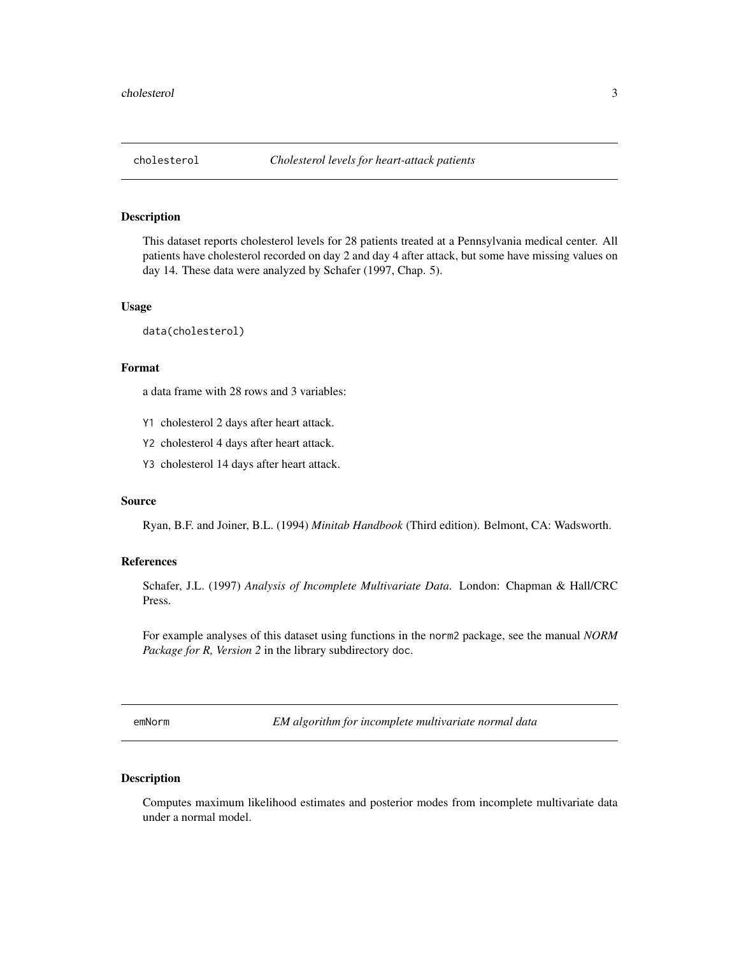<span id="page-2-0"></span>

## Description

This dataset reports cholesterol levels for 28 patients treated at a Pennsylvania medical center. All patients have cholesterol recorded on day 2 and day 4 after attack, but some have missing values on day 14. These data were analyzed by Schafer (1997, Chap. 5).

### Usage

data(cholesterol)

## Format

a data frame with 28 rows and 3 variables:

- Y1 cholesterol 2 days after heart attack.
- Y2 cholesterol 4 days after heart attack.
- Y3 cholesterol 14 days after heart attack.

### Source

Ryan, B.F. and Joiner, B.L. (1994) *Minitab Handbook* (Third edition). Belmont, CA: Wadsworth.

### References

Schafer, J.L. (1997) *Analysis of Incomplete Multivariate Data*. London: Chapman & Hall/CRC Press.

For example analyses of this dataset using functions in the norm2 package, see the manual *NORM Package for R, Version 2* in the library subdirectory doc.

<span id="page-2-1"></span>emNorm *EM algorithm for incomplete multivariate normal data*

## Description

Computes maximum likelihood estimates and posterior modes from incomplete multivariate data under a normal model.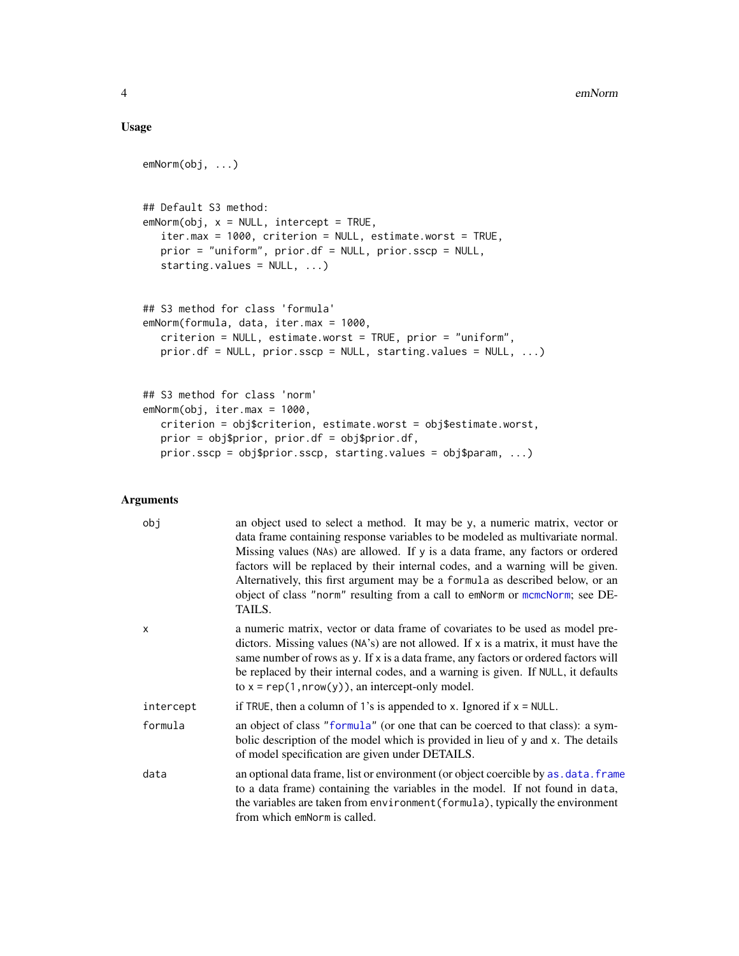## <span id="page-3-0"></span>Usage

```
emNorm(obj, ...)
## Default S3 method:
emNorm(obj, x = NULL, intercept = TRUE,iter.max = 1000, criterion = NULL, estimate.worst = TRUE,
  prior = "uniform", prior.df = NULL, prior.sscp = NULL,
  starting.values = NULL, ...)
## S3 method for class 'formula'
emNorm(formula, data, iter.max = 1000,
  criterion = NULL, estimate.worst = TRUE, prior = "uniform",
  prior.df = NULL, prior.sscp = NULL, starting.values = NULL, ...)
## S3 method for class 'norm'
emNorm(obj, iter.max = 1000,
  criterion = obj$criterion, estimate.worst = obj$estimate.worst,
  prior = obj$prior, prior.df = obj$prior.df,
  prior.sscp = obj$prior.sscp, starting.values = obj$param, ...)
```
#### Arguments

| obj       | an object used to select a method. It may be y, a numeric matrix, vector or<br>data frame containing response variables to be modeled as multivariate normal.<br>Missing values (NAs) are allowed. If y is a data frame, any factors or ordered<br>factors will be replaced by their internal codes, and a warning will be given.<br>Alternatively, this first argument may be a formula as described below, or an<br>object of class "norm" resulting from a call to emNorm or mcmcNorm; see DE-<br>TAILS. |
|-----------|-------------------------------------------------------------------------------------------------------------------------------------------------------------------------------------------------------------------------------------------------------------------------------------------------------------------------------------------------------------------------------------------------------------------------------------------------------------------------------------------------------------|
| X         | a numeric matrix, vector or data frame of covariates to be used as model pre-<br>dictors. Missing values (NA's) are not allowed. If x is a matrix, it must have the<br>same number of rows as y. If x is a data frame, any factors or ordered factors will<br>be replaced by their internal codes, and a warning is given. If NULL, it defaults<br>to $x = \text{rep}(1, \text{now}(y))$ , an intercept-only model.                                                                                         |
| intercept | if TRUE, then a column of 1's is appended to x. Ignored if $x = NULL$ .                                                                                                                                                                                                                                                                                                                                                                                                                                     |
| formula   | an object of class "formula" (or one that can be coerced to that class): a sym-<br>bolic description of the model which is provided in lieu of y and x. The details<br>of model specification are given under DETAILS.                                                                                                                                                                                                                                                                                      |
| data      | an optional data frame, list or environment (or object coercible by as, data, frame<br>to a data frame) containing the variables in the model. If not found in data,<br>the variables are taken from environment (formula), typically the environment<br>from which emnorm is called.                                                                                                                                                                                                                       |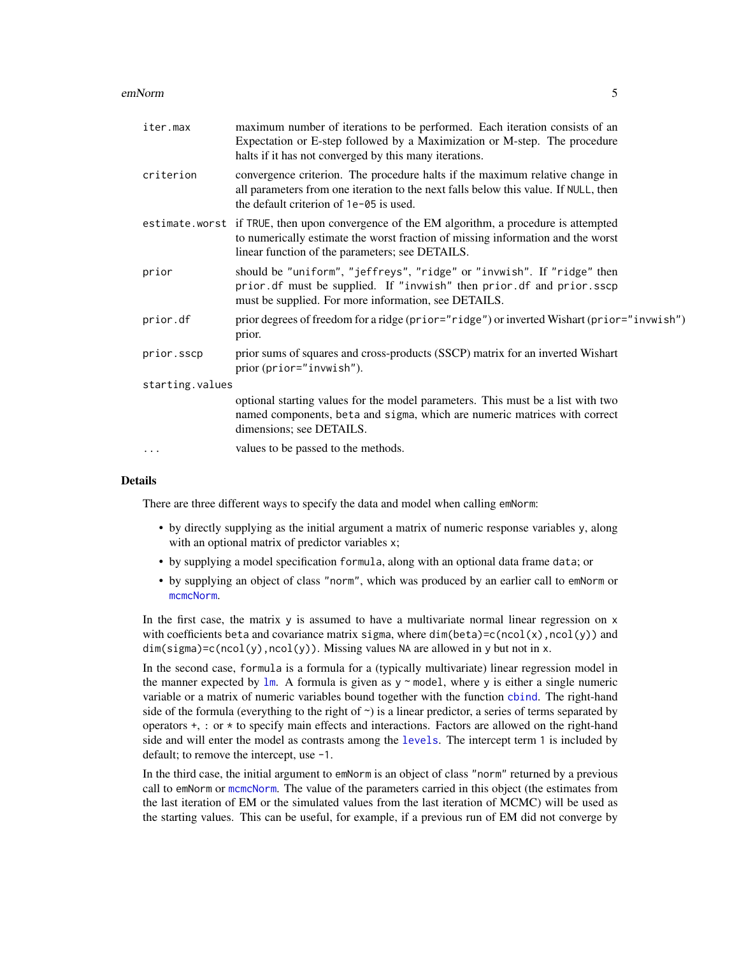#### <span id="page-4-0"></span>emNorm 5

| iter.max        | maximum number of iterations to be performed. Each iteration consists of an<br>Expectation or E-step followed by a Maximization or M-step. The procedure<br>halts if it has not converged by this many iterations.                |  |
|-----------------|-----------------------------------------------------------------------------------------------------------------------------------------------------------------------------------------------------------------------------------|--|
| criterion       | convergence criterion. The procedure halts if the maximum relative change in<br>all parameters from one iteration to the next falls below this value. If NULL, then<br>the default criterion of 1e-05 is used.                    |  |
|                 | estimate.worst if TRUE, then upon convergence of the EM algorithm, a procedure is attempted<br>to numerically estimate the worst fraction of missing information and the worst<br>linear function of the parameters; see DETAILS. |  |
| prior           | should be "uniform", "jeffreys", "ridge" or "invwish". If "ridge" then<br>prior.df must be supplied. If "invwish" then prior.df and prior.sscp<br>must be supplied. For more information, see DETAILS.                            |  |
| prior.df        | prior degrees of freedom for a ridge (prior="ridge") or inverted Wishart (prior="invwish")<br>prior.                                                                                                                              |  |
| prior.sscp      | prior sums of squares and cross-products (SSCP) matrix for an inverted Wishart<br>prior (prior="invwish").                                                                                                                        |  |
| starting.values |                                                                                                                                                                                                                                   |  |
|                 | optional starting values for the model parameters. This must be a list with two<br>named components, beta and sigma, which are numeric matrices with correct<br>dimensions; see DETAILS.                                          |  |
| .               | values to be passed to the methods.                                                                                                                                                                                               |  |

## Details

There are three different ways to specify the data and model when calling emNorm:

- by directly supplying as the initial argument a matrix of numeric response variables y, along with an optional matrix of predictor variables x;
- by supplying a model specification formula, along with an optional data frame data; or
- by supplying an object of class "norm", which was produced by an earlier call to emNorm or [mcmcNorm](#page-16-1).

In the first case, the matrix  $y$  is assumed to have a multivariate normal linear regression on  $x$ with coefficients beta and covariance matrix sigma, where dim(beta)=c(ncol(x),ncol(y)) and  $dim(sigma) = c(ncol(y),ncol(y))$ . Missing values NA are allowed in y but not in x.

In the second case, formula is a formula for a (typically multivariate) linear regression model in the manner expected by  $\text{Im}$ . A formula is given as y  $\sim$  model, where y is either a single numeric variable or a matrix of numeric variables bound together with the function [cbind](#page-0-0). The right-hand side of the formula (everything to the right of  $\sim$ ) is a linear predictor, a series of terms separated by operators +, : or \* to specify main effects and interactions. Factors are allowed on the right-hand side and will enter the model as contrasts among the [levels](#page-0-0). The intercept term 1 is included by default; to remove the intercept, use -1.

In the third case, the initial argument to emNorm is an object of class "norm" returned by a previous call to emNorm or [mcmcNorm](#page-16-1). The value of the parameters carried in this object (the estimates from the last iteration of EM or the simulated values from the last iteration of MCMC) will be used as the starting values. This can be useful, for example, if a previous run of EM did not converge by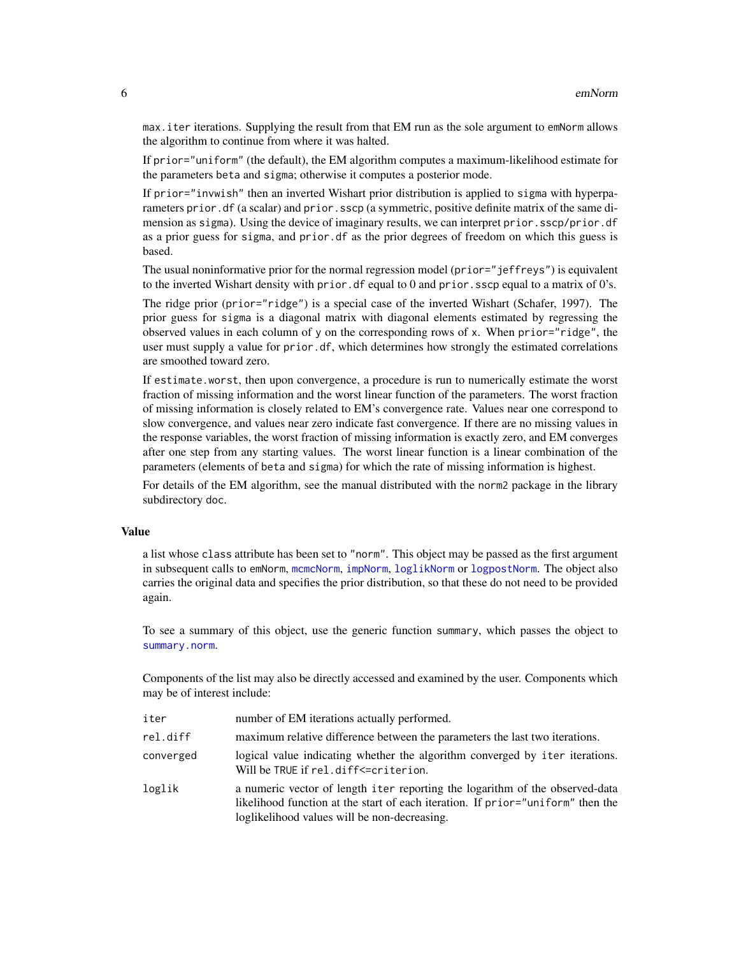<span id="page-5-0"></span>max.iter iterations. Supplying the result from that EM run as the sole argument to emNorm allows the algorithm to continue from where it was halted.

If prior="uniform" (the default), the EM algorithm computes a maximum-likelihood estimate for the parameters beta and sigma; otherwise it computes a posterior mode.

If prior="invwish" then an inverted Wishart prior distribution is applied to sigma with hyperparameters prior. df (a scalar) and prior. sscp (a symmetric, positive definite matrix of the same dimension as sigma). Using the device of imaginary results, we can interpret prior.sscp/prior.df as a prior guess for sigma, and prior.df as the prior degrees of freedom on which this guess is based.

The usual noninformative prior for the normal regression model (prior="jeffreys") is equivalent to the inverted Wishart density with prior. df equal to 0 and prior. sscp equal to a matrix of  $0$ 's.

The ridge prior (prior="ridge") is a special case of the inverted Wishart (Schafer, 1997). The prior guess for sigma is a diagonal matrix with diagonal elements estimated by regressing the observed values in each column of y on the corresponding rows of x. When prior="ridge", the user must supply a value for prior.df, which determines how strongly the estimated correlations are smoothed toward zero.

If estimate.worst, then upon convergence, a procedure is run to numerically estimate the worst fraction of missing information and the worst linear function of the parameters. The worst fraction of missing information is closely related to EM's convergence rate. Values near one correspond to slow convergence, and values near zero indicate fast convergence. If there are no missing values in the response variables, the worst fraction of missing information is exactly zero, and EM converges after one step from any starting values. The worst linear function is a linear combination of the parameters (elements of beta and sigma) for which the rate of missing information is highest.

For details of the EM algorithm, see the manual distributed with the norm2 package in the library subdirectory doc.

### Value

a list whose class attribute has been set to "norm". This object may be passed as the first argument in subsequent calls to emNorm, [mcmcNorm](#page-16-1), [impNorm](#page-8-1), [loglikNorm](#page-10-1) or [logpostNorm](#page-13-1). The object also carries the original data and specifies the prior distribution, so that these do not need to be provided again.

To see a summary of this object, use the generic function summary, which passes the object to [summary.norm](#page-23-1).

Components of the list may also be directly accessed and examined by the user. Components which may be of interest include:

| iter      | number of EM iterations actually performed.                                                                                                                                                                     |
|-----------|-----------------------------------------------------------------------------------------------------------------------------------------------------------------------------------------------------------------|
| rel.diff  | maximum relative difference between the parameters the last two iterations.                                                                                                                                     |
| converged | logical value indicating whether the algorithm converged by iter iterations.<br>Will be TRUE if rel.diff<=criterion.                                                                                            |
| loglik    | a numeric vector of length iter reporting the logarithm of the observed-data<br>likelihood function at the start of each iteration. If prior="uniform" then the<br>loglikelihood values will be non-decreasing. |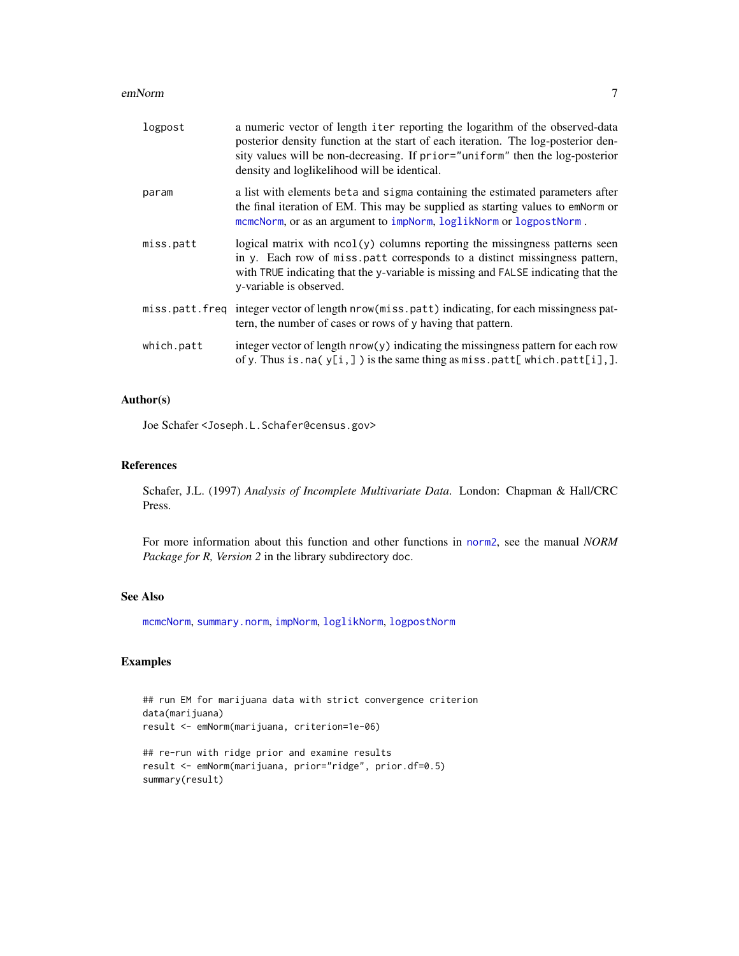#### <span id="page-6-0"></span>emNorm 2008 and 2008 and 2008 and 2008 and 2008 and 2008 and 2008 and 2008 and 2008 and 2008 and 2008 and 2008

| logpost        | a numeric vector of length iter reporting the logarithm of the observed-data<br>posterior density function at the start of each iteration. The log-posterior den-<br>sity values will be non-decreasing. If prior="uniform" then the log-posterior<br>density and loglikelihood will be identical. |
|----------------|----------------------------------------------------------------------------------------------------------------------------------------------------------------------------------------------------------------------------------------------------------------------------------------------------|
| param          | a list with elements beta and sigma containing the estimated parameters after<br>the final iteration of EM. This may be supplied as starting values to emNorm or<br>mcmcNorm, or as an argument to impNorm, loglikNorm or logpostNorm.                                                             |
| miss.patt      | logical matrix with $ncol(y)$ columns reporting the missingness patterns seen<br>in y. Each row of miss patt corresponds to a distinct missingness pattern,<br>with TRUE indicating that the y-variable is missing and FALSE indicating that the<br>y-variable is observed.                        |
| miss.patt.freq | integer vector of length nrow (miss.patt) indicating, for each missingness pat-<br>tern, the number of cases or rows of y having that pattern.                                                                                                                                                     |
| which.patt     | integer vector of length $nrow(y)$ indicating the missingness pattern for each row<br>of y. Thus is. na( $y[i,]$ ) is the same thing as miss. patt[which. patt[i],].                                                                                                                               |

## Author(s)

Joe Schafer <Joseph.L.Schafer@census.gov>

## References

Schafer, J.L. (1997) *Analysis of Incomplete Multivariate Data*. London: Chapman & Hall/CRC Press.

For more information about this function and other functions in [norm2](#page-1-1), see the manual *NORM Package for R, Version 2* in the library subdirectory doc.

## See Also

[mcmcNorm](#page-16-1), [summary.norm](#page-23-1), [impNorm](#page-8-1), [loglikNorm](#page-10-1), [logpostNorm](#page-13-1)

#### Examples

```
## run EM for marijuana data with strict convergence criterion
data(marijuana)
result <- emNorm(marijuana, criterion=1e-06)
```

```
## re-run with ridge prior and examine results
result <- emNorm(marijuana, prior="ridge", prior.df=0.5)
summary(result)
```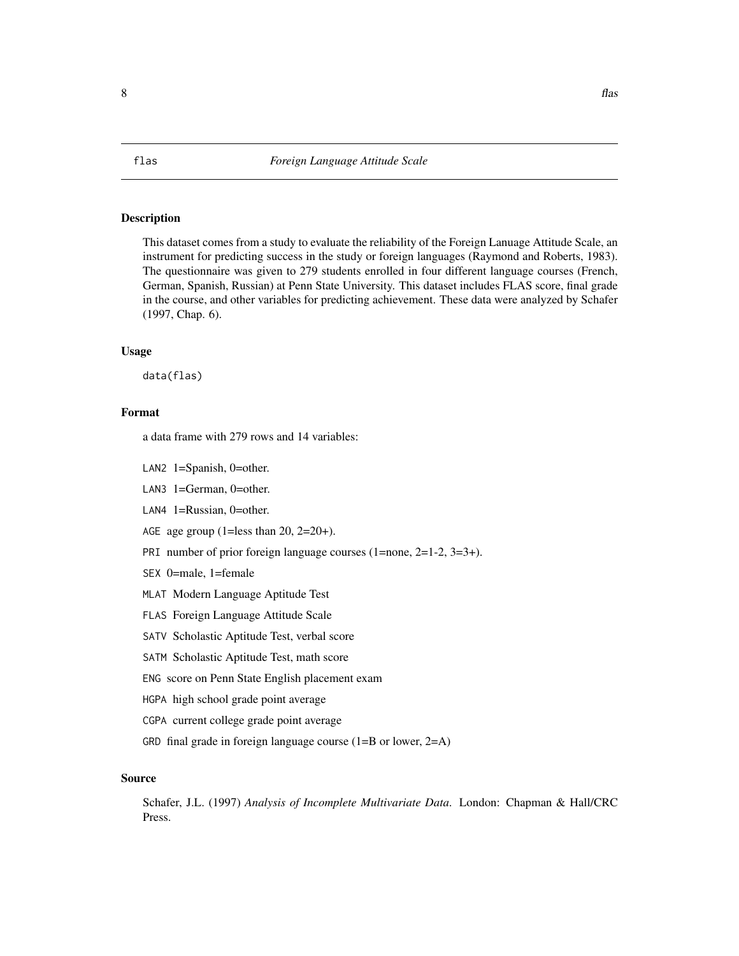## Description

This dataset comes from a study to evaluate the reliability of the Foreign Lanuage Attitude Scale, an instrument for predicting success in the study or foreign languages (Raymond and Roberts, 1983). The questionnaire was given to 279 students enrolled in four different language courses (French, German, Spanish, Russian) at Penn State University. This dataset includes FLAS score, final grade in the course, and other variables for predicting achievement. These data were analyzed by Schafer (1997, Chap. 6).

## Usage

data(flas)

## Format

a data frame with 279 rows and 14 variables:

- LAN2 1=Spanish, 0=other.
- LAN3 1=German, 0=other.
- LAN4 1=Russian, 0=other.
- AGE age group (1=less than  $20$ ,  $2=20+$ ).
- PRI number of prior foreign language courses (1=none, 2=1-2, 3=3+).
- SEX 0=male, 1=female
- MLAT Modern Language Aptitude Test
- FLAS Foreign Language Attitude Scale
- SATV Scholastic Aptitude Test, verbal score
- SATM Scholastic Aptitude Test, math score
- ENG score on Penn State English placement exam
- HGPA high school grade point average
- CGPA current college grade point average
- GRD final grade in foreign language course  $(1=B \text{ or lower}, 2=A)$

## Source

Schafer, J.L. (1997) *Analysis of Incomplete Multivariate Data*. London: Chapman & Hall/CRC Press.

<span id="page-7-0"></span>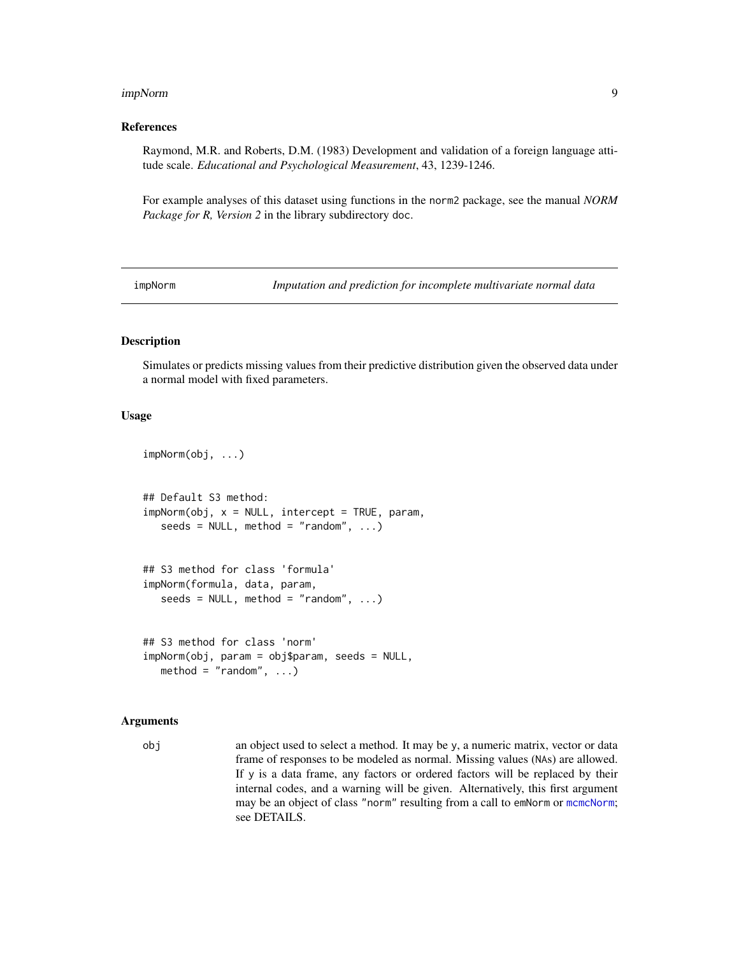#### <span id="page-8-0"></span>impNorm 9

## References

Raymond, M.R. and Roberts, D.M. (1983) Development and validation of a foreign language attitude scale. *Educational and Psychological Measurement*, 43, 1239-1246.

For example analyses of this dataset using functions in the norm2 package, see the manual *NORM Package for R, Version 2* in the library subdirectory doc.

<span id="page-8-1"></span>impNorm *Imputation and prediction for incomplete multivariate normal data*

## Description

Simulates or predicts missing values from their predictive distribution given the observed data under a normal model with fixed parameters.

## Usage

```
impNorm(obj, ...)
## Default S3 method:
impNorm(obj, x = NULL, intercept = TRUE, param,seeds = NULL, method = "random", ...)
## S3 method for class 'formula'
impNorm(formula, data, param,
   seeds = NULL, method = "random", ...)
## S3 method for class 'norm'
impNorm(obj, param = obj$param, seeds = NULL,
   method = "random", ...)
```
#### Arguments

obj an object used to select a method. It may be y, a numeric matrix, vector or data frame of responses to be modeled as normal. Missing values (NAs) are allowed. If y is a data frame, any factors or ordered factors will be replaced by their internal codes, and a warning will be given. Alternatively, this first argument may be an object of class "norm" resulting from a call to emNorm or [mcmcNorm](#page-16-1); see DETAILS.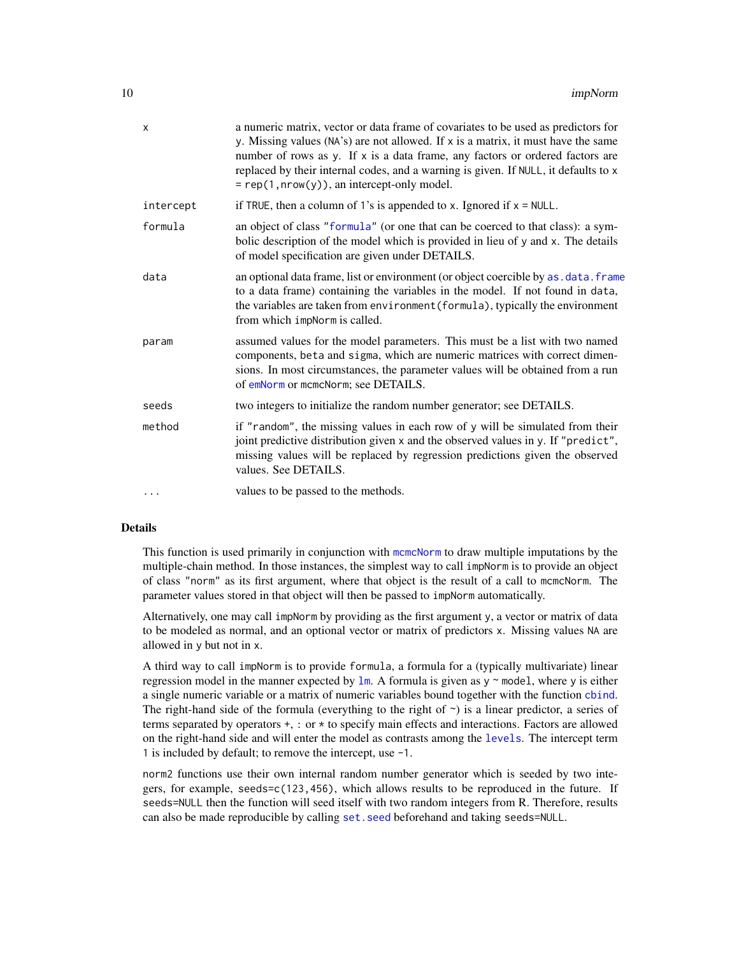<span id="page-9-0"></span>

| X         | a numeric matrix, vector or data frame of covariates to be used as predictors for<br>y. Missing values (NA's) are not allowed. If x is a matrix, it must have the same<br>number of rows as y. If x is a data frame, any factors or ordered factors are<br>replaced by their internal codes, and a warning is given. If NULL, it defaults to x<br>$= rep(1, nrow(y)),$ an intercept-only model. |
|-----------|-------------------------------------------------------------------------------------------------------------------------------------------------------------------------------------------------------------------------------------------------------------------------------------------------------------------------------------------------------------------------------------------------|
| intercept | if TRUE, then a column of 1's is appended to x. Ignored if $x = NULL$ .                                                                                                                                                                                                                                                                                                                         |
| formula   | an object of class "formula" (or one that can be coerced to that class): a sym-<br>bolic description of the model which is provided in lieu of y and x. The details<br>of model specification are given under DETAILS.                                                                                                                                                                          |
| data      | an optional data frame, list or environment (or object coercible by as . data. frame<br>to a data frame) containing the variables in the model. If not found in data,<br>the variables are taken from environment (formula), typically the environment<br>from which impNorm is called.                                                                                                         |
| param     | assumed values for the model parameters. This must be a list with two named<br>components, beta and sigma, which are numeric matrices with correct dimen-<br>sions. In most circumstances, the parameter values will be obtained from a run<br>of emNorm or mcmcNorm; see DETAILS.                                                                                                              |
| seeds     | two integers to initialize the random number generator; see DETAILS.                                                                                                                                                                                                                                                                                                                            |
| method    | if "random", the missing values in each row of y will be simulated from their<br>joint predictive distribution given x and the observed values in y. If "predict",<br>missing values will be replaced by regression predictions given the observed<br>values. See DETAILS.                                                                                                                      |
|           | values to be passed to the methods.                                                                                                                                                                                                                                                                                                                                                             |

## Details

This function is used primarily in conjunction with [mcmcNorm](#page-16-1) to draw multiple imputations by the multiple-chain method. In those instances, the simplest way to call impNorm is to provide an object of class "norm" as its first argument, where that object is the result of a call to mcmcNorm. The parameter values stored in that object will then be passed to impNorm automatically.

Alternatively, one may call impNorm by providing as the first argument y, a vector or matrix of data to be modeled as normal, and an optional vector or matrix of predictors x. Missing values NA are allowed in y but not in x.

A third way to call impNorm is to provide formula, a formula for a (typically multivariate) linear regression model in the manner expected by  $\text{lm}$  $\text{lm}$  $\text{lm}$ . A formula is given as y  $\sim$  model, where y is either a single numeric variable or a matrix of numeric variables bound together with the function [cbind](#page-0-0). The right-hand side of the formula (everything to the right of  $\sim$ ) is a linear predictor, a series of terms separated by operators +, : or \* to specify main effects and interactions. Factors are allowed on the right-hand side and will enter the model as contrasts among the [levels](#page-0-0). The intercept term 1 is included by default; to remove the intercept, use -1.

norm2 functions use their own internal random number generator which is seeded by two integers, for example, seeds=c(123,456), which allows results to be reproduced in the future. If seeds=NULL then the function will seed itself with two random integers from R. Therefore, results can also be made reproducible by calling set. seed beforehand and taking seeds=NULL.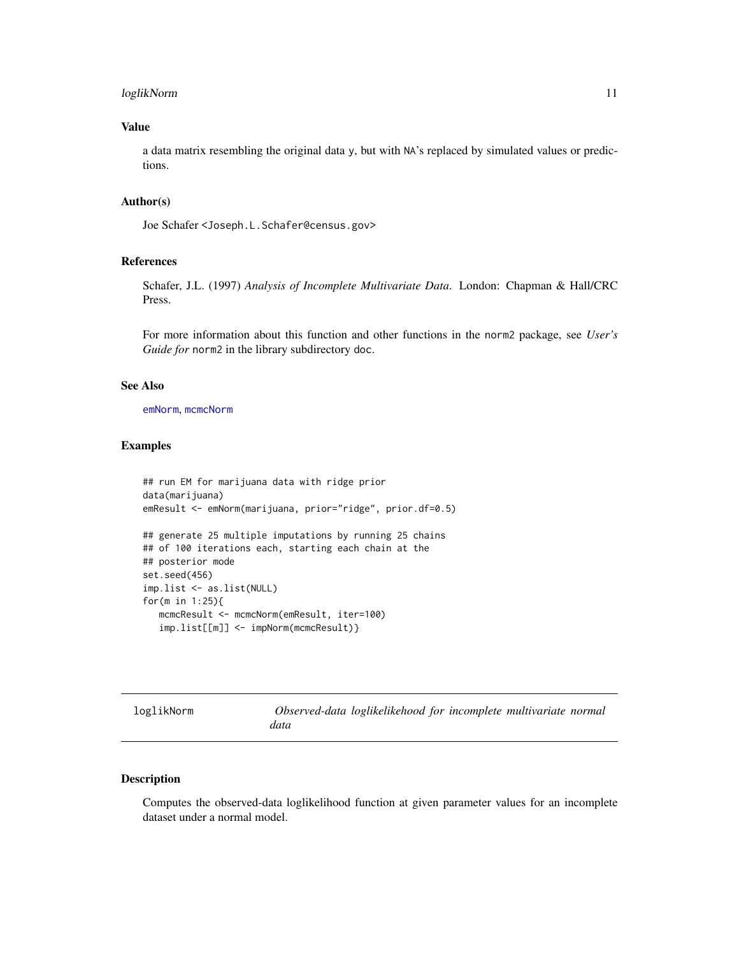## <span id="page-10-0"></span>loglikNorm 11

## Value

a data matrix resembling the original data y, but with NA's replaced by simulated values or predictions.

## Author(s)

Joe Schafer <Joseph.L.Schafer@census.gov>

## References

Schafer, J.L. (1997) *Analysis of Incomplete Multivariate Data*. London: Chapman & Hall/CRC Press.

For more information about this function and other functions in the norm2 package, see *User's Guide for* norm2 in the library subdirectory doc.

## See Also

[emNorm](#page-2-1), [mcmcNorm](#page-16-1)

## Examples

```
## run EM for marijuana data with ridge prior
data(marijuana)
emResult <- emNorm(marijuana, prior="ridge", prior.df=0.5)
## generate 25 multiple imputations by running 25 chains
## of 100 iterations each, starting each chain at the
## posterior mode
set.seed(456)
imp.list <- as.list(NULL)
for(m in 1:25){
  mcmcResult <- mcmcNorm(emResult, iter=100)
  imp.list[[m]] <- impNorm(mcmcResult)}
```
<span id="page-10-1"></span>loglikNorm *Observed-data loglikelikehood for incomplete multivariate normal data*

## Description

Computes the observed-data loglikelihood function at given parameter values for an incomplete dataset under a normal model.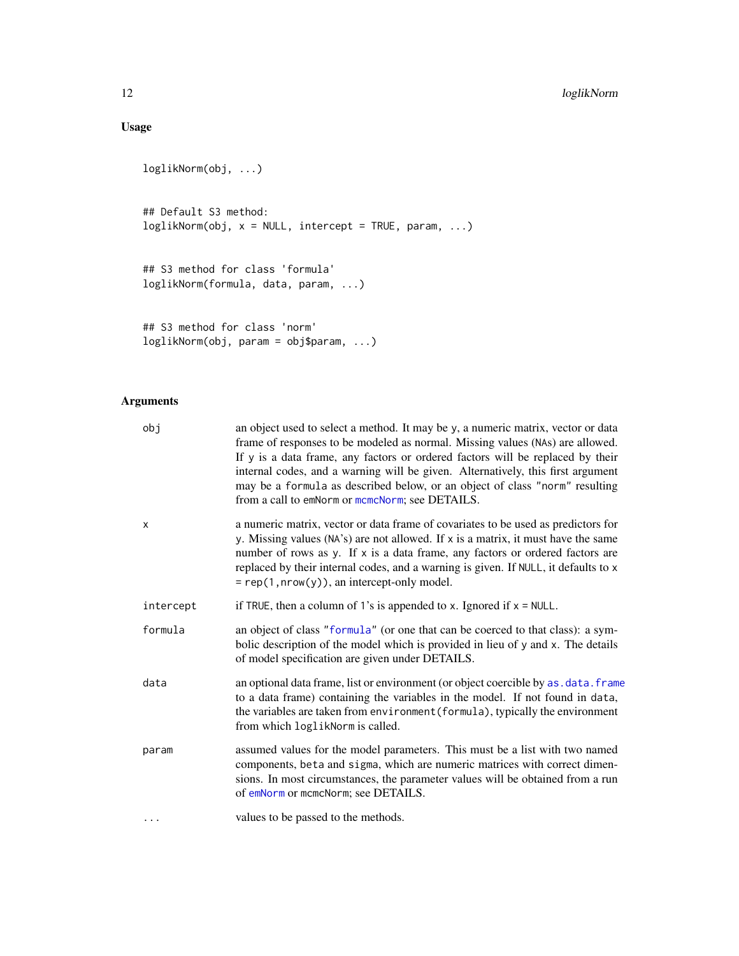## <span id="page-11-0"></span>Usage

```
loglikNorm(obj, ...)
## Default S3 method:
loglikNorm(obj, x = NULL, intercept = TRUE, param, ...)
## S3 method for class 'formula'
loglikNorm(formula, data, param, ...)
## S3 method for class 'norm'
```
loglikNorm(obj, param = obj\$param, ...)

## Arguments

| obj                       | an object used to select a method. It may be y, a numeric matrix, vector or data<br>frame of responses to be modeled as normal. Missing values (NAs) are allowed.<br>If y is a data frame, any factors or ordered factors will be replaced by their<br>internal codes, and a warning will be given. Alternatively, this first argument<br>may be a formula as described below, or an object of class "norm" resulting<br>from a call to emNorm or mcmcNorm; see DETAILS. |
|---------------------------|--------------------------------------------------------------------------------------------------------------------------------------------------------------------------------------------------------------------------------------------------------------------------------------------------------------------------------------------------------------------------------------------------------------------------------------------------------------------------|
| $\boldsymbol{\mathsf{x}}$ | a numeric matrix, vector or data frame of covariates to be used as predictors for<br>y. Missing values (NA's) are not allowed. If x is a matrix, it must have the same<br>number of rows as y. If x is a data frame, any factors or ordered factors are<br>replaced by their internal codes, and a warning is given. If NULL, it defaults to x<br>$= rep(1, nrow(y)),$ an intercept-only model.                                                                          |
| intercept                 | if TRUE, then a column of 1's is appended to x. Ignored if $x = NULL$ .                                                                                                                                                                                                                                                                                                                                                                                                  |
| formula                   | an object of class "formula" (or one that can be coerced to that class): a sym-<br>bolic description of the model which is provided in lieu of y and x. The details<br>of model specification are given under DETAILS.                                                                                                                                                                                                                                                   |
| data                      | an optional data frame, list or environment (or object coercible by as. data. frame<br>to a data frame) containing the variables in the model. If not found in data,<br>the variables are taken from environment (formula), typically the environment<br>from which loglikNorm is called.                                                                                                                                                                                |
| param                     | assumed values for the model parameters. This must be a list with two named<br>components, beta and sigma, which are numeric matrices with correct dimen-<br>sions. In most circumstances, the parameter values will be obtained from a run<br>of emNorm or mcmcNorm; see DETAILS.                                                                                                                                                                                       |
| $\ddots$ .                | values to be passed to the methods.                                                                                                                                                                                                                                                                                                                                                                                                                                      |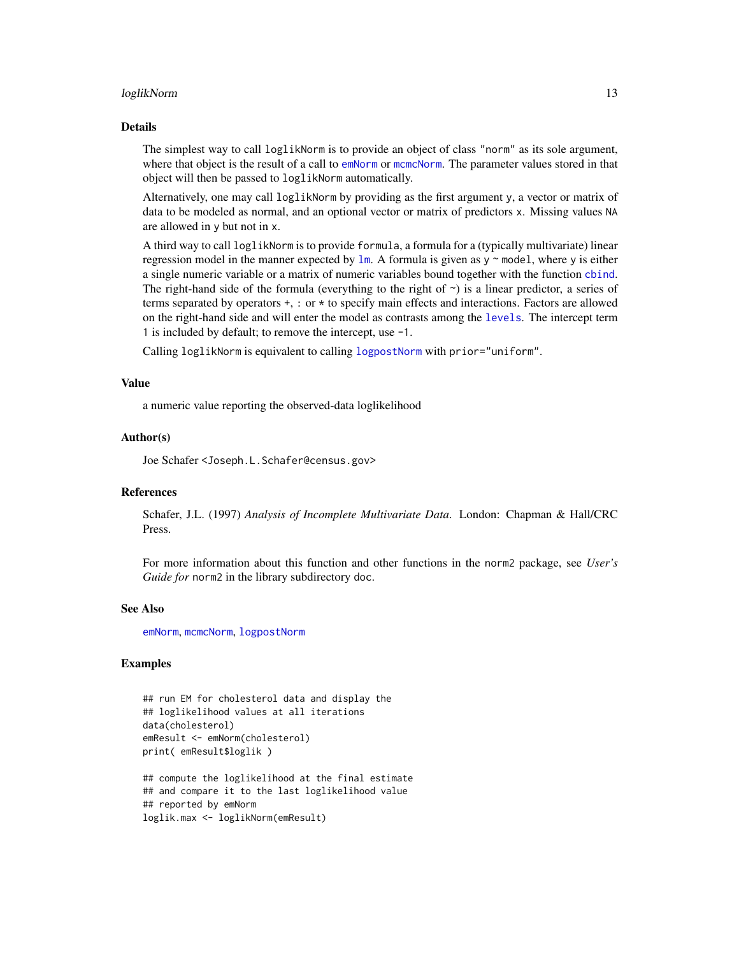#### <span id="page-12-0"></span>loglikNorm 13

#### Details

The simplest way to call loglikNorm is to provide an object of class "norm" as its sole argument, where that object is the result of a call to [emNorm](#page-2-1) or [mcmcNorm](#page-16-1). The parameter values stored in that object will then be passed to loglikNorm automatically.

Alternatively, one may call loglikNorm by providing as the first argument y, a vector or matrix of data to be modeled as normal, and an optional vector or matrix of predictors x. Missing values NA are allowed in y but not in x.

A third way to call loglikNorm is to provide formula, a formula for a (typically multivariate) linear regression model in the manner expected by  $\text{lm}$  $\text{lm}$  $\text{lm}$ . A formula is given as y  $\sim$  model, where y is either a single numeric variable or a matrix of numeric variables bound together with the function [cbind](#page-0-0). The right-hand side of the formula (everything to the right of  $\sim$ ) is a linear predictor, a series of terms separated by operators +, : or \* to specify main effects and interactions. Factors are allowed on the right-hand side and will enter the model as contrasts among the [levels](#page-0-0). The intercept term 1 is included by default; to remove the intercept, use -1.

Calling loglikNorm is equivalent to calling [logpostNorm](#page-13-1) with prior="uniform".

## Value

a numeric value reporting the observed-data loglikelihood

## Author(s)

Joe Schafer <Joseph.L.Schafer@census.gov>

## References

Schafer, J.L. (1997) *Analysis of Incomplete Multivariate Data*. London: Chapman & Hall/CRC Press.

For more information about this function and other functions in the norm2 package, see *User's Guide for* norm2 in the library subdirectory doc.

## See Also

[emNorm](#page-2-1), [mcmcNorm](#page-16-1), [logpostNorm](#page-13-1)

## Examples

```
## run EM for cholesterol data and display the
## loglikelihood values at all iterations
data(cholesterol)
emResult <- emNorm(cholesterol)
print( emResult$loglik )
```
## compute the loglikelihood at the final estimate ## and compare it to the last loglikelihood value ## reported by emNorm loglik.max <- loglikNorm(emResult)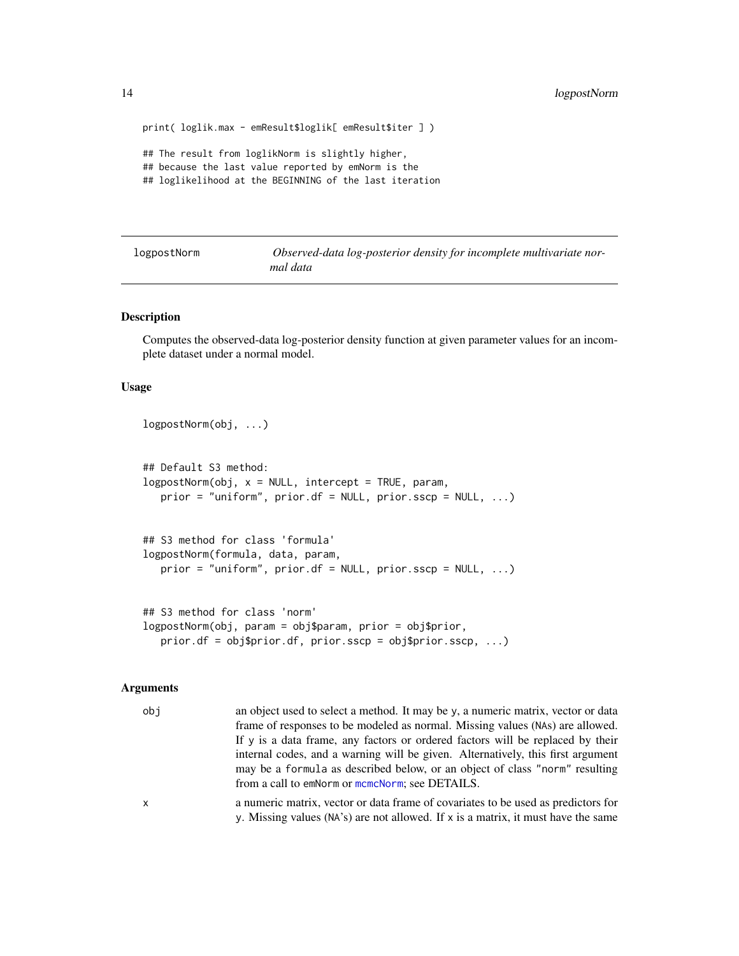```
print( loglik.max - emResult$loglik[ emResult$iter ] )
## The result from loglikNorm is slightly higher,
## because the last value reported by emNorm is the
## loglikelihood at the BEGINNING of the last iteration
```
<span id="page-13-1"></span>logpostNorm *Observed-data log-posterior density for incomplete multivariate normal data*

#### **Description**

Computes the observed-data log-posterior density function at given parameter values for an incomplete dataset under a normal model.

## Usage

```
logpostNorm(obj, ...)
## Default S3 method:
logpostNorm(obj, x = NULL, intercept = TRUE, param,prior = "uniform", prior.df = NULL, prior.sscp = NULL, ...)
## S3 method for class 'formula'
logpostNorm(formula, data, param,
   prior = "uniform", prior.df = NULL, prior.sscp = NULL, ...)
## S3 method for class 'norm'
```

```
logpostNorm(obj, param = obj$param, prior = obj$prior,
   prior.df = obj$prior.df, prior.sscp = obj$prior.sscp, ...)
```
## Arguments

obj an object used to select a method. It may be y, a numeric matrix, vector or data frame of responses to be modeled as normal. Missing values (NAs) are allowed. If y is a data frame, any factors or ordered factors will be replaced by their internal codes, and a warning will be given. Alternatively, this first argument may be a formula as described below, or an object of class "norm" resulting from a call to emNorm or [mcmcNorm](#page-16-1); see DETAILS. x a numeric matrix, vector or data frame of covariates to be used as predictors for

y. Missing values (NA's) are not allowed. If x is a matrix, it must have the same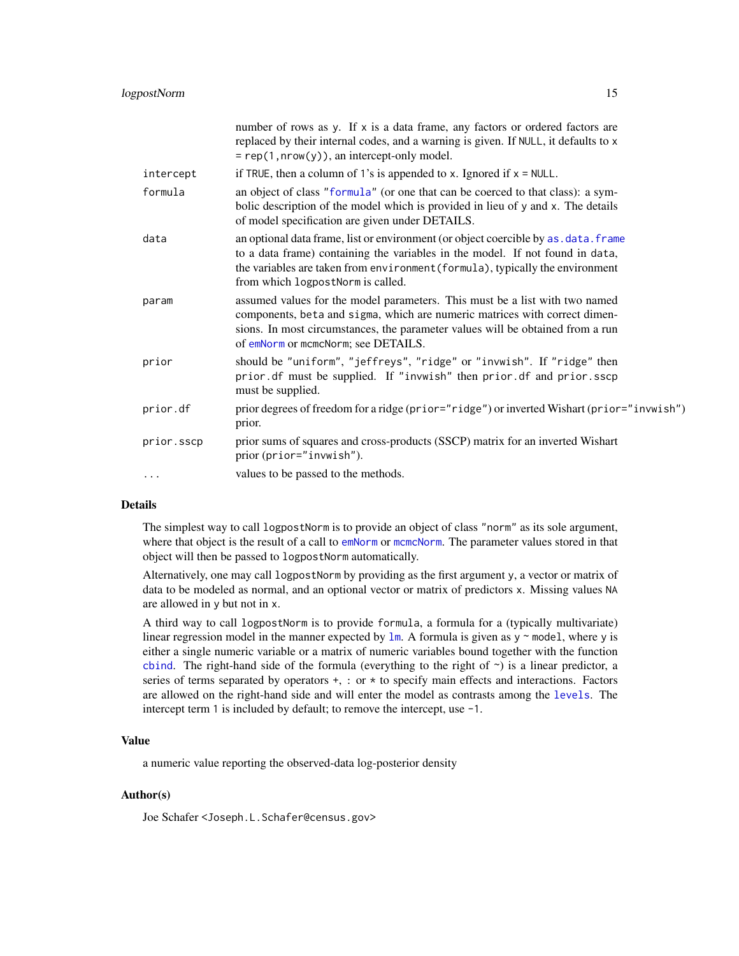<span id="page-14-0"></span>

|            | number of rows as y. If x is a data frame, any factors or ordered factors are<br>replaced by their internal codes, and a warning is given. If NULL, it defaults to x<br>$= rep(1, nrow(y)),$ an intercept-only model.                                                                       |
|------------|---------------------------------------------------------------------------------------------------------------------------------------------------------------------------------------------------------------------------------------------------------------------------------------------|
| intercept  | if TRUE, then a column of 1's is appended to x. Ignored if $x = NULL$ .                                                                                                                                                                                                                     |
| formula    | an object of class "formula" (or one that can be coerced to that class): a sym-<br>bolic description of the model which is provided in lieu of y and x. The details<br>of model specification are given under DETAILS.                                                                      |
| data       | an optional data frame, list or environment (or object coercible by as . data. frame<br>to a data frame) containing the variables in the model. If not found in data,<br>the variables are taken from environment (formula), typically the environment<br>from which logpostNorm is called. |
| param      | assumed values for the model parameters. This must be a list with two named<br>components, beta and sigma, which are numeric matrices with correct dimen-<br>sions. In most circumstances, the parameter values will be obtained from a run<br>of emNorm or mcmcNorm; see DETAILS.          |
| prior      | should be "uniform", "jeffreys", "ridge" or "invwish". If "ridge" then<br>prior.df must be supplied. If "invwish" then prior.df and prior.sscp<br>must be supplied.                                                                                                                         |
| prior.df   | prior degrees of freedom for a ridge (prior="ridge") or inverted Wishart (prior="invwish")<br>prior.                                                                                                                                                                                        |
| prior.sscp | prior sums of squares and cross-products (SSCP) matrix for an inverted Wishart<br>prior (prior="invwish").                                                                                                                                                                                  |
| $\cdots$   | values to be passed to the methods.                                                                                                                                                                                                                                                         |

## Details

The simplest way to call logpostNorm is to provide an object of class "norm" as its sole argument, where that object is the result of a call to [emNorm](#page-2-1) or [mcmcNorm](#page-16-1). The parameter values stored in that object will then be passed to logpostNorm automatically.

Alternatively, one may call logpostNorm by providing as the first argument y, a vector or matrix of data to be modeled as normal, and an optional vector or matrix of predictors x. Missing values NA are allowed in y but not in x.

A third way to call logpostNorm is to provide formula, a formula for a (typically multivariate) linear regression model in the manner expected by  $1m$ . A formula is given as  $y \sim$  model, where y is either a single numeric variable or a matrix of numeric variables bound together with the function [cbind](#page-0-0). The right-hand side of the formula (everything to the right of  $\gamma$ ) is a linear predictor, a series of terms separated by operators +, : or \* to specify main effects and interactions. Factors are allowed on the right-hand side and will enter the model as contrasts among the [levels](#page-0-0). The intercept term 1 is included by default; to remove the intercept, use -1.

## Value

a numeric value reporting the observed-data log-posterior density

## Author(s)

Joe Schafer <Joseph.L.Schafer@census.gov>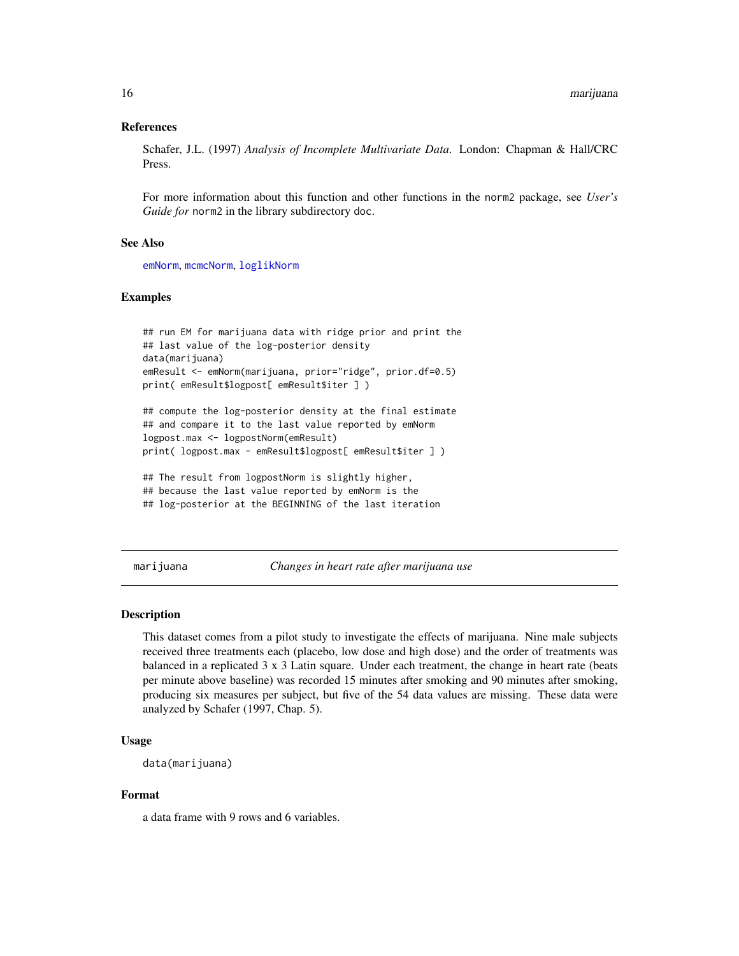## <span id="page-15-0"></span>References

Schafer, J.L. (1997) *Analysis of Incomplete Multivariate Data*. London: Chapman & Hall/CRC Press.

For more information about this function and other functions in the norm2 package, see *User's Guide for* norm2 in the library subdirectory doc.

## See Also

[emNorm](#page-2-1), [mcmcNorm](#page-16-1), [loglikNorm](#page-10-1)

## Examples

```
## run EM for marijuana data with ridge prior and print the
## last value of the log-posterior density
data(marijuana)
emResult <- emNorm(marijuana, prior="ridge", prior.df=0.5)
print( emResult$logpost[ emResult$iter ] )
```

```
## compute the log-posterior density at the final estimate
## and compare it to the last value reported by emNorm
logpost.max <- logpostNorm(emResult)
print( logpost.max - emResult$logpost[ emResult$iter ] )
```

```
## The result from logpostNorm is slightly higher,
## because the last value reported by emNorm is the
## log-posterior at the BEGINNING of the last iteration
```
marijuana *Changes in heart rate after marijuana use*

#### Description

This dataset comes from a pilot study to investigate the effects of marijuana. Nine male subjects received three treatments each (placebo, low dose and high dose) and the order of treatments was balanced in a replicated 3 x 3 Latin square. Under each treatment, the change in heart rate (beats per minute above baseline) was recorded 15 minutes after smoking and 90 minutes after smoking, producing six measures per subject, but five of the 54 data values are missing. These data were analyzed by Schafer (1997, Chap. 5).

## Usage

```
data(marijuana)
```
#### Format

a data frame with 9 rows and 6 variables.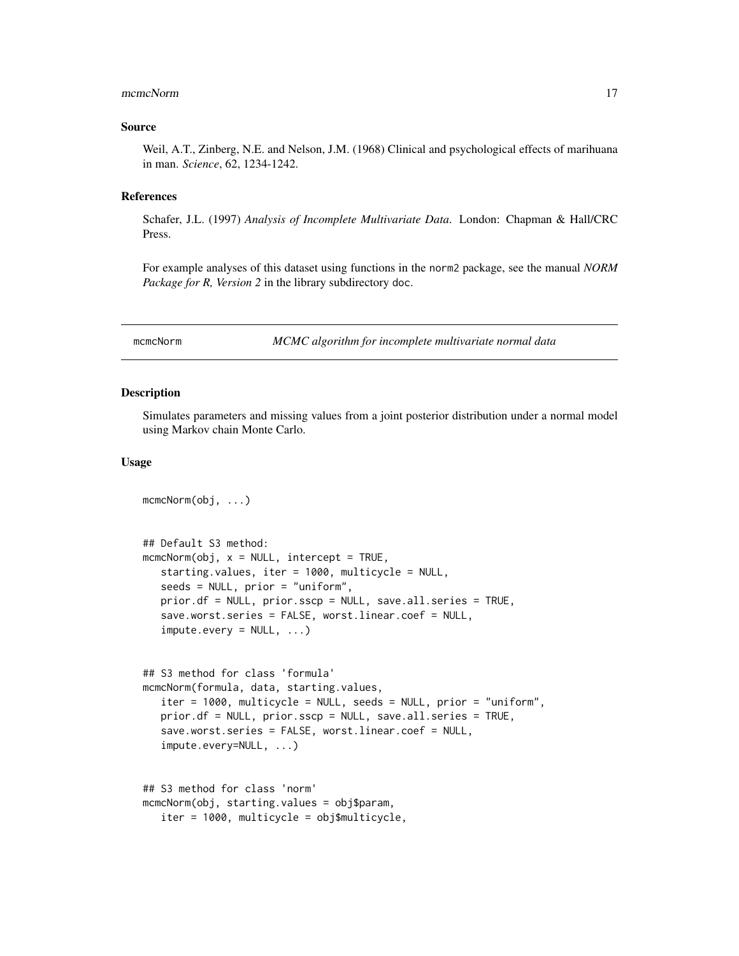#### <span id="page-16-0"></span>mcmcNorm 17

#### Source

Weil, A.T., Zinberg, N.E. and Nelson, J.M. (1968) Clinical and psychological effects of marihuana in man. *Science*, 62, 1234-1242.

## References

Schafer, J.L. (1997) *Analysis of Incomplete Multivariate Data*. London: Chapman & Hall/CRC Press.

For example analyses of this dataset using functions in the norm2 package, see the manual *NORM Package for R, Version 2* in the library subdirectory doc.

<span id="page-16-1"></span>mcmcNorm *MCMC algorithm for incomplete multivariate normal data*

## Description

Simulates parameters and missing values from a joint posterior distribution under a normal model using Markov chain Monte Carlo.

#### Usage

```
mcmcNorm(obj, ...)
## Default S3 method:
mcmCNorm(obj, x = NULL, intercept = TRUE,starting.values, iter = 1000, multicycle = NULL,
   seeds = NULL, prior = "uniform",
   prior.df = NULL, prior.sscp = NULL, save.all.series = TRUE,
   save.worst.series = FALSE, worst.linear.coef = NULL,
   impute.every = NULL, ...)## S3 method for class 'formula'
mcmcNorm(formula, data, starting.values,
   iter = 1000, multicycle = NULL, seeds = NULL, prior = "uniform",
   prior.df = NULL, prior.sscp = NULL, save.all.series = TRUE,
   save.worst.series = FALSE, worst.linear.coef = NULL,
   impute.every=NULL, ...)
## S3 method for class 'norm'
mcmcNorm(obj, starting.values = obj$param,
   iter = 1000, multicycle = obj$multicycle,
```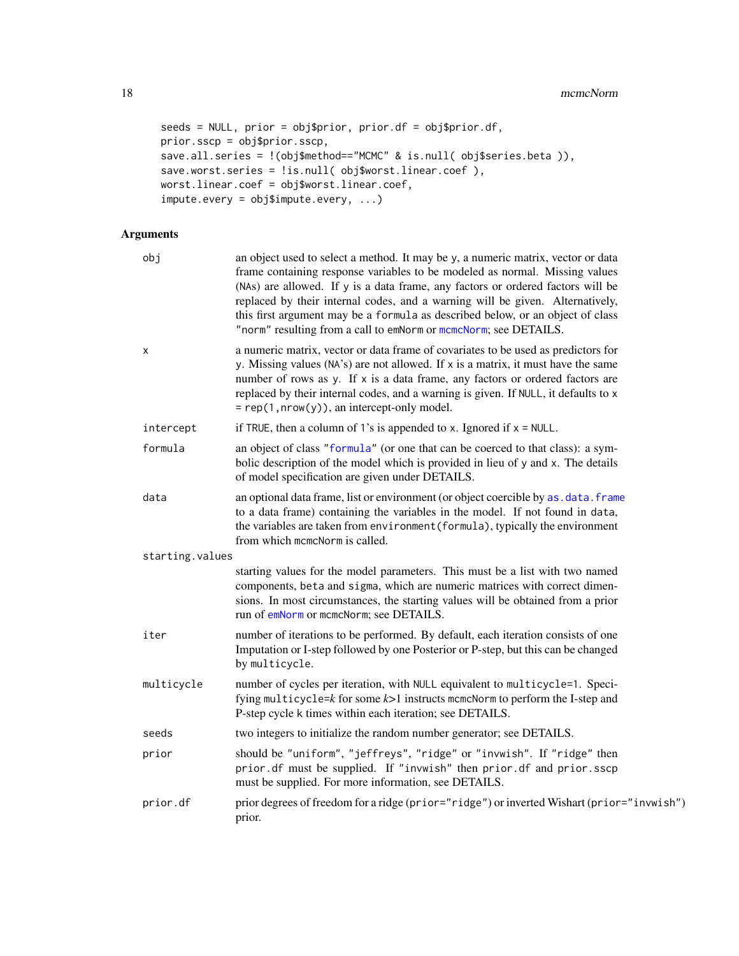```
seeds = NULL, prior = obj$prior, prior.df = obj$prior.df,
prior.sscp = obj$prior.sscp,
save.all.series = !(obj$method=="MCMC" & is.null( obj$series.beta )),
save.worst.series = !is.null( obj$worst.linear.coef ),
worst.linear.coef = obj$worst.linear.coef,
impute.every = obj$impute.every, ...)
```
## Arguments

| obj             | an object used to select a method. It may be y, a numeric matrix, vector or data<br>frame containing response variables to be modeled as normal. Missing values<br>(NAs) are allowed. If y is a data frame, any factors or ordered factors will be<br>replaced by their internal codes, and a warning will be given. Alternatively,<br>this first argument may be a formula as described below, or an object of class<br>"norm" resulting from a call to emNorm or mcmcNorm; see DETAILS. |
|-----------------|-------------------------------------------------------------------------------------------------------------------------------------------------------------------------------------------------------------------------------------------------------------------------------------------------------------------------------------------------------------------------------------------------------------------------------------------------------------------------------------------|
| х               | a numeric matrix, vector or data frame of covariates to be used as predictors for<br>y. Missing values (NA's) are not allowed. If x is a matrix, it must have the same<br>number of rows as y. If x is a data frame, any factors or ordered factors are<br>replaced by their internal codes, and a warning is given. If NULL, it defaults to x<br>$= rep(1, nrow(y)),$ an intercept-only model.                                                                                           |
| intercept       | if TRUE, then a column of 1's is appended to x. Ignored if $x = NULL$ .                                                                                                                                                                                                                                                                                                                                                                                                                   |
| formula         | an object of class "formula" (or one that can be coerced to that class): a sym-<br>bolic description of the model which is provided in lieu of y and x. The details<br>of model specification are given under DETAILS.                                                                                                                                                                                                                                                                    |
| data            | an optional data frame, list or environment (or object coercible by as. data. frame<br>to a data frame) containing the variables in the model. If not found in data,<br>the variables are taken from environment (formula), typically the environment<br>from which mcmcNorm is called.                                                                                                                                                                                                   |
| starting.values |                                                                                                                                                                                                                                                                                                                                                                                                                                                                                           |
|                 | starting values for the model parameters. This must be a list with two named<br>components, beta and sigma, which are numeric matrices with correct dimen-<br>sions. In most circumstances, the starting values will be obtained from a prior<br>run of emNorm or mcmcNorm; see DETAILS.                                                                                                                                                                                                  |
| iter            | number of iterations to be performed. By default, each iteration consists of one<br>Imputation or I-step followed by one Posterior or P-step, but this can be changed<br>by multicycle.                                                                                                                                                                                                                                                                                                   |
| multicycle      | number of cycles per iteration, with NULL equivalent to multicycle=1. Speci-<br>fying multicycle= $k$ for some $k$ >1 instructs mcmcNorm to perform the I-step and<br>P-step cycle k times within each iteration; see DETAILS.                                                                                                                                                                                                                                                            |
| seeds           | two integers to initialize the random number generator; see DETAILS.                                                                                                                                                                                                                                                                                                                                                                                                                      |
| prior           | should be "uniform", "jeffreys", "ridge" or "invwish". If "ridge" then<br>prior.df must be supplied. If "invwish" then prior.df and prior.sscp<br>must be supplied. For more information, see DETAILS.                                                                                                                                                                                                                                                                                    |
| prior.df        | prior degrees of freedom for a ridge (prior="ridge") or inverted Wishart (prior="invwish")<br>prior.                                                                                                                                                                                                                                                                                                                                                                                      |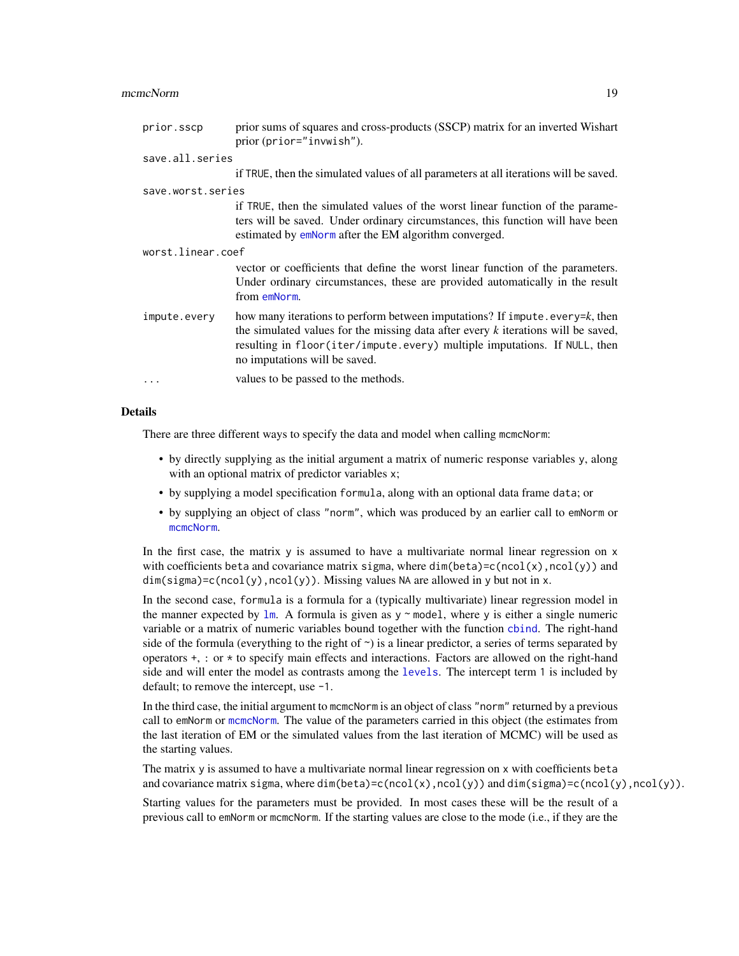#### <span id="page-18-0"></span>mcmcNorm and the contract of the contract of the contract of the contract of the contract of the contract of the contract of the contract of the contract of the contract of the contract of the contract of the contract of t

| prior.sscp        | prior sums of squares and cross-products (SSCP) matrix for an inverted Wishart<br>prior (prior="invwish").                                                                                                                                                                       |  |
|-------------------|----------------------------------------------------------------------------------------------------------------------------------------------------------------------------------------------------------------------------------------------------------------------------------|--|
| save.all.series   |                                                                                                                                                                                                                                                                                  |  |
|                   | if TRUE, then the simulated values of all parameters at all iterations will be saved.                                                                                                                                                                                            |  |
| save.worst.series |                                                                                                                                                                                                                                                                                  |  |
|                   | if TRUE, then the simulated values of the worst linear function of the parame-<br>ters will be saved. Under ordinary circumstances, this function will have been<br>estimated by emNorm after the EM algorithm converged.                                                        |  |
| worst.linear.coef |                                                                                                                                                                                                                                                                                  |  |
|                   | vector or coefficients that define the worst linear function of the parameters.<br>Under ordinary circumstances, these are provided automatically in the result<br>from emNorm.                                                                                                  |  |
| impute.every      | how many iterations to perform between imputations? If impute every=k, then<br>the simulated values for the missing data after every $k$ iterations will be saved,<br>resulting in floor(iter/impute.every) multiple imputations. If NULL, then<br>no imputations will be saved. |  |
| $\ddots$          | values to be passed to the methods.                                                                                                                                                                                                                                              |  |
|                   |                                                                                                                                                                                                                                                                                  |  |

## Details

There are three different ways to specify the data and model when calling mcmcNorm:

- by directly supplying as the initial argument a matrix of numeric response variables y, along with an optional matrix of predictor variables x;
- by supplying a model specification formula, along with an optional data frame data; or
- by supplying an object of class "norm", which was produced by an earlier call to emNorm or [mcmcNorm](#page-16-1).

In the first case, the matrix y is assumed to have a multivariate normal linear regression on x with coefficients beta and covariance matrix sigma, where  $dim(beta)=c(ncol(x),ncol(y))$  and  $dim(sigma) = c(ncol(y),ncol(y))$ . Missing values NA are allowed in y but not in x.

In the second case, formula is a formula for a (typically multivariate) linear regression model in the manner expected by  $\text{Im}$ . A formula is given as y  $\sim$  model, where y is either a single numeric variable or a matrix of numeric variables bound together with the function [cbind](#page-0-0). The right-hand side of the formula (everything to the right of  $\sim$ ) is a linear predictor, a series of terms separated by operators  $+$ , : or  $*$  to specify main effects and interactions. Factors are allowed on the right-hand side and will enter the model as contrasts among the [levels](#page-0-0). The intercept term 1 is included by default; to remove the intercept, use -1.

In the third case, the initial argument to mcmcNorm is an object of class "norm" returned by a previous call to emNorm or [mcmcNorm](#page-16-1). The value of the parameters carried in this object (the estimates from the last iteration of EM or the simulated values from the last iteration of MCMC) will be used as the starting values.

The matrix y is assumed to have a multivariate normal linear regression on x with coefficients beta and covariance matrix sigma, where dim(beta)=c(ncol(x),ncol(y)) and dim(sigma)=c(ncol(y),ncol(y)).

Starting values for the parameters must be provided. In most cases these will be the result of a previous call to emNorm or mcmcNorm. If the starting values are close to the mode (i.e., if they are the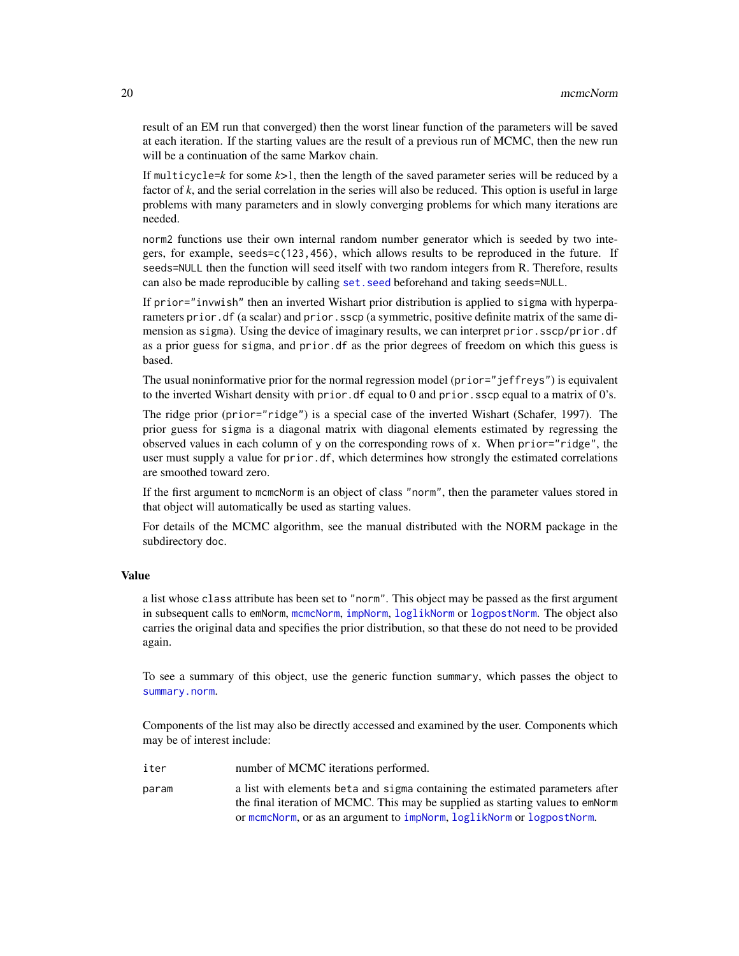<span id="page-19-0"></span>result of an EM run that converged) then the worst linear function of the parameters will be saved at each iteration. If the starting values are the result of a previous run of MCMC, then the new run will be a continuation of the same Markov chain.

If multicycle= $k$  for some  $k>1$ , then the length of the saved parameter series will be reduced by a factor of *k*, and the serial correlation in the series will also be reduced. This option is useful in large problems with many parameters and in slowly converging problems for which many iterations are needed.

norm2 functions use their own internal random number generator which is seeded by two integers, for example, seeds=c(123,456), which allows results to be reproduced in the future. If seeds=NULL then the function will seed itself with two random integers from R. Therefore, results can also be made reproducible by calling [set.seed](#page-0-0) beforehand and taking seeds=NULL.

If prior="invwish" then an inverted Wishart prior distribution is applied to sigma with hyperparameters prior. df (a scalar) and prior. sscp (a symmetric, positive definite matrix of the same dimension as sigma). Using the device of imaginary results, we can interpret prior.sscp/prior.df as a prior guess for sigma, and prior.df as the prior degrees of freedom on which this guess is based.

The usual noninformative prior for the normal regression model (prior="jeffreys") is equivalent to the inverted Wishart density with prior. df equal to 0 and prior. sscp equal to a matrix of  $0$ 's.

The ridge prior (prior="ridge") is a special case of the inverted Wishart (Schafer, 1997). The prior guess for sigma is a diagonal matrix with diagonal elements estimated by regressing the observed values in each column of y on the corresponding rows of x. When prior="ridge", the user must supply a value for prior.df, which determines how strongly the estimated correlations are smoothed toward zero.

If the first argument to mcmcNorm is an object of class "norm", then the parameter values stored in that object will automatically be used as starting values.

For details of the MCMC algorithm, see the manual distributed with the NORM package in the subdirectory doc.

### Value

a list whose class attribute has been set to "norm". This object may be passed as the first argument in subsequent calls to emNorm, [mcmcNorm](#page-16-1), [impNorm](#page-8-1), [loglikNorm](#page-10-1) or [logpostNorm](#page-13-1). The object also carries the original data and specifies the prior distribution, so that these do not need to be provided again.

To see a summary of this object, use the generic function summary, which passes the object to [summary.norm](#page-23-1).

Components of the list may also be directly accessed and examined by the user. Components which may be of interest include:

- iter number of MCMC iterations performed.
- param a list with elements beta and sigma containing the estimated parameters after the final iteration of MCMC. This may be supplied as starting values to emNorm or [mcmcNorm](#page-16-1), or as an argument to [impNorm](#page-8-1), [loglikNorm](#page-10-1) or [logpostNorm](#page-13-1).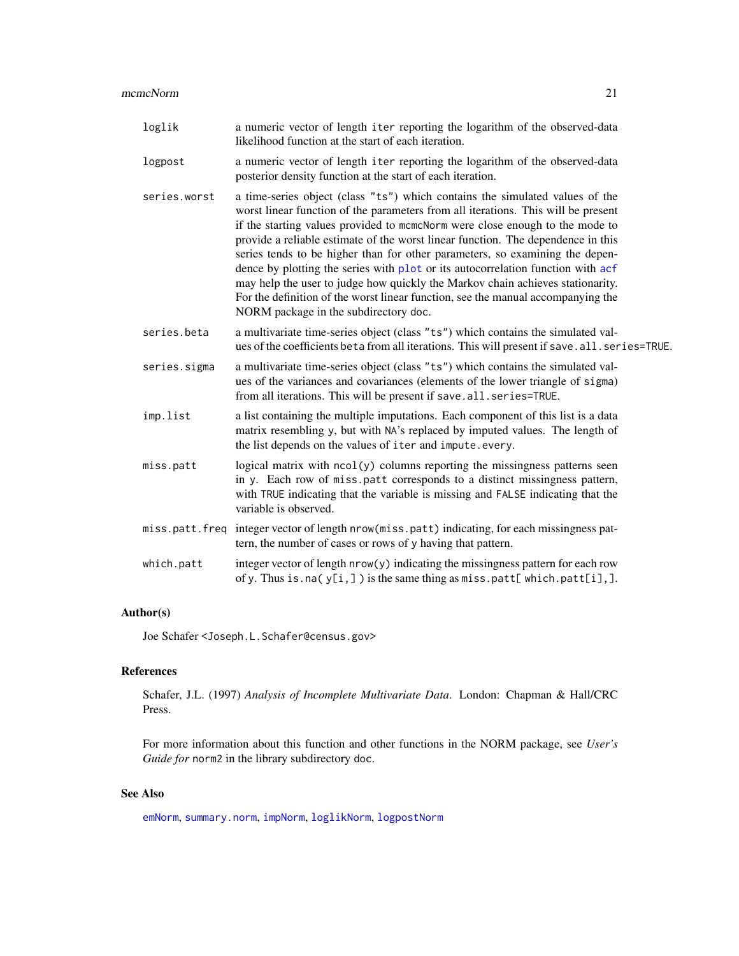<span id="page-20-0"></span>

| loglik       | a numeric vector of length iter reporting the logarithm of the observed-data<br>likelihood function at the start of each iteration.                                                                                                                                                                                                                                                                                                                                                                                                                                                                                                                                                                                   |
|--------------|-----------------------------------------------------------------------------------------------------------------------------------------------------------------------------------------------------------------------------------------------------------------------------------------------------------------------------------------------------------------------------------------------------------------------------------------------------------------------------------------------------------------------------------------------------------------------------------------------------------------------------------------------------------------------------------------------------------------------|
| logpost      | a numeric vector of length iter reporting the logarithm of the observed-data<br>posterior density function at the start of each iteration.                                                                                                                                                                                                                                                                                                                                                                                                                                                                                                                                                                            |
| series.worst | a time-series object (class "ts") which contains the simulated values of the<br>worst linear function of the parameters from all iterations. This will be present<br>if the starting values provided to moment were close enough to the mode to<br>provide a reliable estimate of the worst linear function. The dependence in this<br>series tends to be higher than for other parameters, so examining the depen-<br>dence by plotting the series with plot or its autocorrelation function with acf<br>may help the user to judge how quickly the Markov chain achieves stationarity.<br>For the definition of the worst linear function, see the manual accompanying the<br>NORM package in the subdirectory doc. |
| series.beta  | a multivariate time-series object (class "ts") which contains the simulated val-<br>ues of the coefficients beta from all iterations. This will present if save. all. series=TRUE.                                                                                                                                                                                                                                                                                                                                                                                                                                                                                                                                    |
|              |                                                                                                                                                                                                                                                                                                                                                                                                                                                                                                                                                                                                                                                                                                                       |

- series.sigma a multivariate time-series object (class "ts") which contains the simulated values of the variances and covariances (elements of the lower triangle of sigma) from all iterations. This will be present if save.all.series=TRUE.
- imp.list a list containing the multiple imputations. Each component of this list is a data matrix resembling y, but with NA's replaced by imputed values. The length of the list depends on the values of iter and impute.every.
- miss.patt logical matrix with  $ncol(y)$  columns reporting the missingness patterns seen in y. Each row of miss.patt corresponds to a distinct missingness pattern, with TRUE indicating that the variable is missing and FALSE indicating that the variable is observed.
- miss.patt.freq integer vector of length nrow(miss.patt) indicating, for each missingness pattern, the number of cases or rows of y having that pattern.
- which.patt integer vector of length  $nrow(y)$  indicating the missingness pattern for each row of y. Thus is.na( $y[i,]$ ) is the same thing as miss.patt[which.patt[i],].

## Author(s)

Joe Schafer <Joseph.L.Schafer@census.gov>

## References

Schafer, J.L. (1997) *Analysis of Incomplete Multivariate Data*. London: Chapman & Hall/CRC Press.

For more information about this function and other functions in the NORM package, see *User's Guide for* norm2 in the library subdirectory doc.

## See Also

[emNorm](#page-2-1), [summary.norm](#page-23-1), [impNorm](#page-8-1), [loglikNorm](#page-10-1), [logpostNorm](#page-13-1)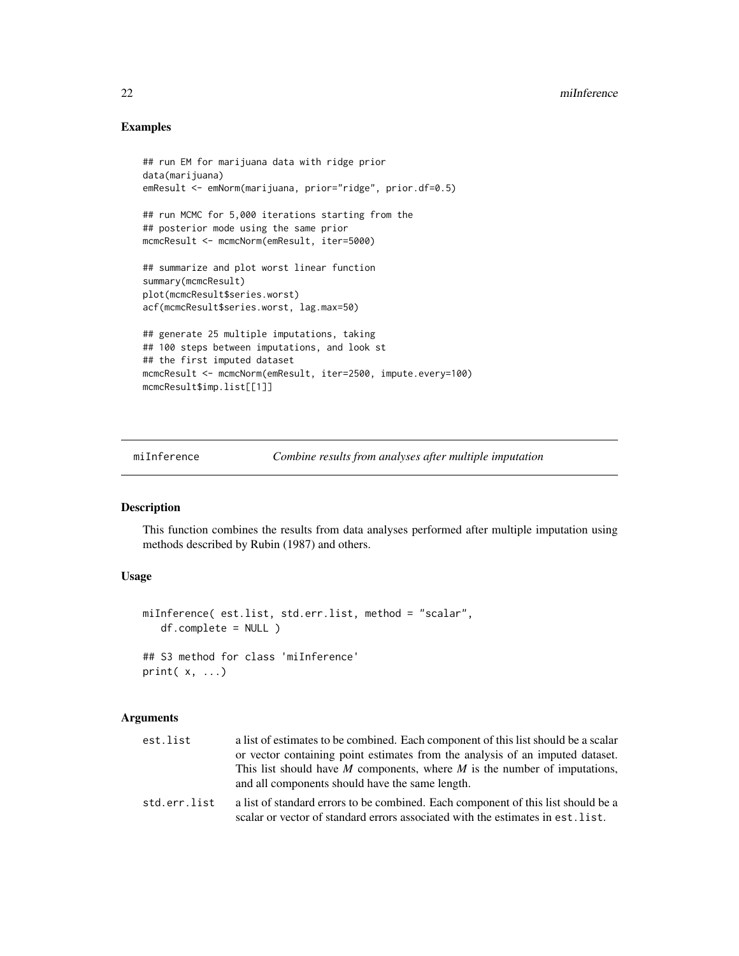## Examples

```
## run EM for marijuana data with ridge prior
data(marijuana)
emResult <- emNorm(marijuana, prior="ridge", prior.df=0.5)
## run MCMC for 5,000 iterations starting from the
## posterior mode using the same prior
mcmcResult <- mcmcNorm(emResult, iter=5000)
## summarize and plot worst linear function
summary(mcmcResult)
plot(mcmcResult$series.worst)
acf(mcmcResult$series.worst, lag.max=50)
## generate 25 multiple imputations, taking
## 100 steps between imputations, and look st
## the first imputed dataset
mcmcResult <- mcmcNorm(emResult, iter=2500, impute.every=100)
mcmcResult$imp.list[[1]]
```
miInference *Combine results from analyses after multiple imputation*

## Description

This function combines the results from data analyses performed after multiple imputation using methods described by Rubin (1987) and others.

## Usage

```
miInference( est.list, std.err.list, method = "scalar",
   df.complete = NULL )
## S3 method for class 'miInference'
print(x, \ldots)
```
## Arguments

| est.list     | a list of estimates to be combined. Each component of this list should be a scalar |
|--------------|------------------------------------------------------------------------------------|
|              | or vector containing point estimates from the analysis of an imputed dataset.      |
|              | This list should have M components, where M is the number of imputations,          |
|              | and all components should have the same length.                                    |
| std.err.list | a list of standard errors to be combined. Each component of this list should be a  |
|              | scalar or vector of standard errors associated with the estimates in est. list.    |

<span id="page-21-0"></span>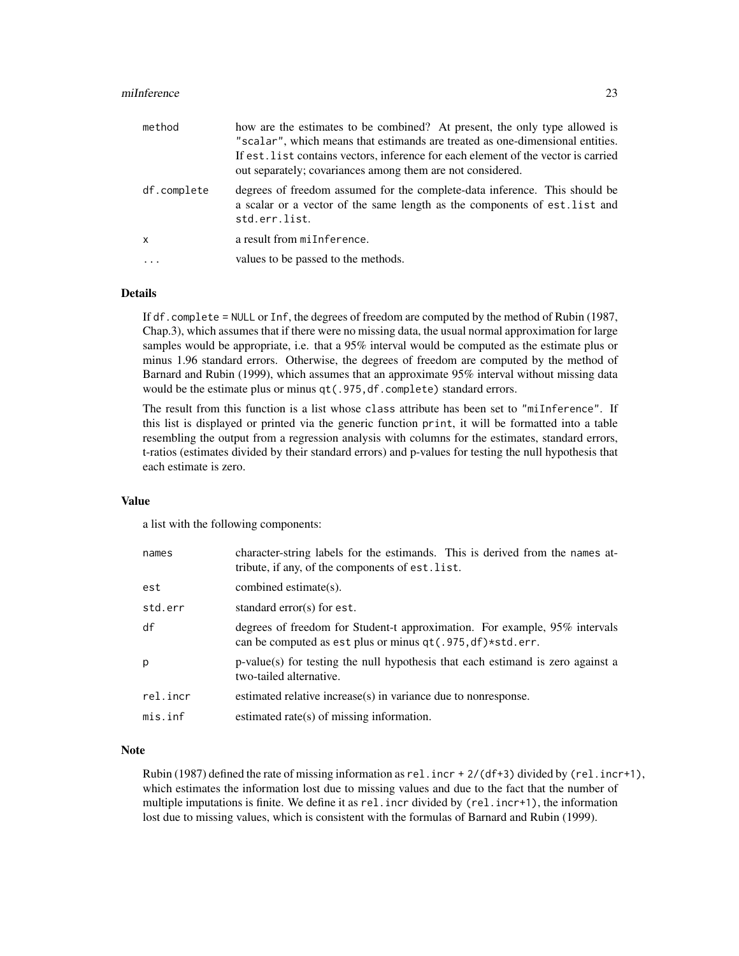#### miInference 23

| method       | how are the estimates to be combined? At present, the only type allowed is<br>"scalar", which means that estimands are treated as one-dimensional entities.<br>If est. list contains vectors, inference for each element of the vector is carried<br>out separately; covariances among them are not considered. |
|--------------|-----------------------------------------------------------------------------------------------------------------------------------------------------------------------------------------------------------------------------------------------------------------------------------------------------------------|
| df.complete  | degrees of freedom assumed for the complete-data inference. This should be<br>a scalar or a vector of the same length as the components of est. list and<br>std.err.list.                                                                                                                                       |
| $\mathsf{x}$ | a result from miInference.                                                                                                                                                                                                                                                                                      |
|              | values to be passed to the methods.                                                                                                                                                                                                                                                                             |

## Details

If df.complete = NULL or Inf, the degrees of freedom are computed by the method of Rubin (1987, Chap.3), which assumes that if there were no missing data, the usual normal approximation for large samples would be appropriate, i.e. that a 95% interval would be computed as the estimate plus or minus 1.96 standard errors. Otherwise, the degrees of freedom are computed by the method of Barnard and Rubin (1999), which assumes that an approximate 95% interval without missing data would be the estimate plus or minus qt(.975,df.complete) standard errors.

The result from this function is a list whose class attribute has been set to "miInference". If this list is displayed or printed via the generic function print, it will be formatted into a table resembling the output from a regression analysis with columns for the estimates, standard errors, t-ratios (estimates divided by their standard errors) and p-values for testing the null hypothesis that each estimate is zero.

## Value

a list with the following components:

| names    | character-string labels for the estimands. This is derived from the names at-<br>tribute, if any, of the components of est. list.        |
|----------|------------------------------------------------------------------------------------------------------------------------------------------|
| est      | combined estimate(s).                                                                                                                    |
| std.err  | standard error(s) for est.                                                                                                               |
| df       | degrees of freedom for Student-t approximation. For example, 95% intervals<br>can be computed as est plus or minus qt(.975, df)*std.err. |
| p        | p-value(s) for testing the null hypothesis that each estimand is zero against a<br>two-tailed alternative.                               |
| rel.incr | estimated relative increase(s) in variance due to nonresponse.                                                                           |
| mis.inf  | estimated rate(s) of missing information.                                                                                                |

#### Note

Rubin (1987) defined the rate of missing information as rel.incr +  $2/$  (df+3) divided by (rel.incr+1), which estimates the information lost due to missing values and due to the fact that the number of multiple imputations is finite. We define it as rel. incr divided by (rel. incr+1), the information lost due to missing values, which is consistent with the formulas of Barnard and Rubin (1999).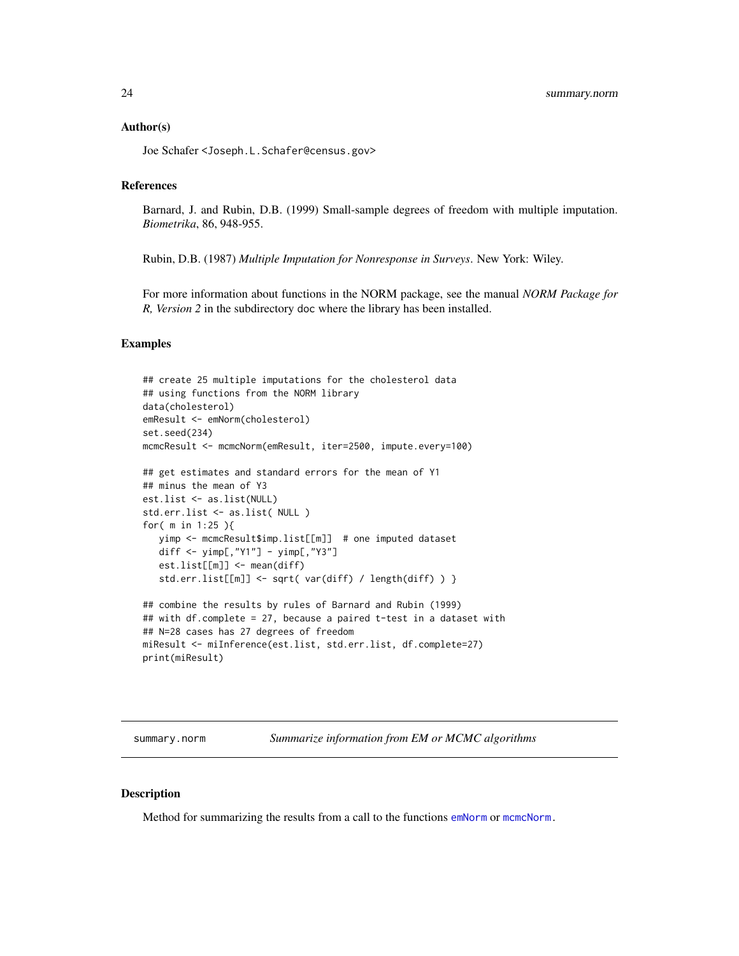#### <span id="page-23-0"></span>Author(s)

Joe Schafer <Joseph.L.Schafer@census.gov>

## References

Barnard, J. and Rubin, D.B. (1999) Small-sample degrees of freedom with multiple imputation. *Biometrika*, 86, 948-955.

Rubin, D.B. (1987) *Multiple Imputation for Nonresponse in Surveys*. New York: Wiley.

For more information about functions in the NORM package, see the manual *NORM Package for R, Version 2* in the subdirectory doc where the library has been installed.

## Examples

```
## create 25 multiple imputations for the cholesterol data
## using functions from the NORM library
data(cholesterol)
emResult <- emNorm(cholesterol)
set.seed(234)
mcmcResult <- mcmcNorm(emResult, iter=2500, impute.every=100)
## get estimates and standard errors for the mean of Y1
## minus the mean of Y3
est.list <- as.list(NULL)
std.err.list <- as.list( NULL )
for( m in 1:25 ){
   yimp <- mcmcResult$imp.list[[m]] # one imputed dataset
   diff <- yimp[,"Y1"] - yimp[,"Y3"]
   est.list[[m]] <- mean(diff)
   std.err.list[[m]] <- sqrt( var(diff) / length(diff) ) }
## combine the results by rules of Barnard and Rubin (1999)
## with df.complete = 27, because a paired t-test in a dataset with
## N=28 cases has 27 degrees of freedom
miResult <- miInference(est.list, std.err.list, df.complete=27)
```
<span id="page-23-1"></span>

print(miResult)

summary.norm *Summarize information from EM or MCMC algorithms* 

## **Description**

Method for summarizing the results from a call to the functions [emNorm](#page-2-1) or [mcmcNorm.](#page-16-1)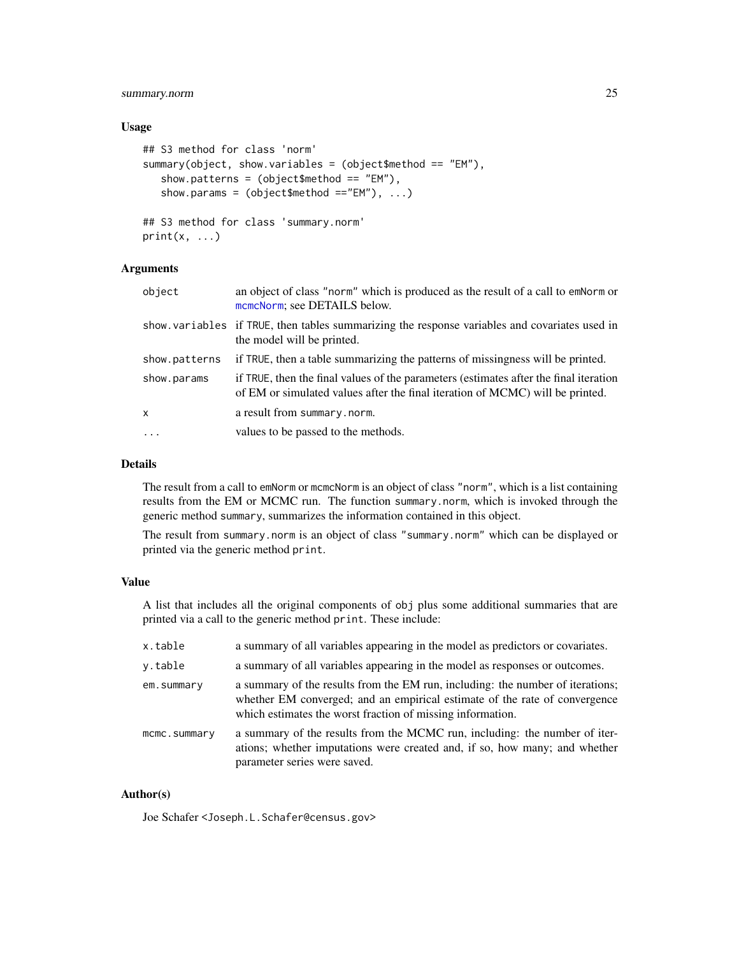## summary.norm 25

## Usage

```
## S3 method for class 'norm'
summary(object, show.variables = (object$method == "EM"),
   show.patterns = (object$method == "EM"),
   show.params = (object$method == "EM"), ...)
## S3 method for class 'summary.norm'
print(x, \ldots)
```
## Arguments

| object        | an object of class "norm" which is produced as the result of a call to emNorm or<br>mcmcNorm; see DETAILS below.                                                       |
|---------------|------------------------------------------------------------------------------------------------------------------------------------------------------------------------|
|               | show variables if TRUE, then tables summarizing the response variables and covariates used in<br>the model will be printed.                                            |
| show.patterns | if TRUE, then a table summarizing the patterns of missingness will be printed.                                                                                         |
| show.params   | if TRUE, then the final values of the parameters (estimates after the final iteration<br>of EM or simulated values after the final iteration of MCMC) will be printed. |
| x             | a result from summary.norm.                                                                                                                                            |
| $\ddots$      | values to be passed to the methods.                                                                                                                                    |
|               |                                                                                                                                                                        |

## Details

The result from a call to emNorm or mcmcNorm is an object of class "norm", which is a list containing results from the EM or MCMC run. The function summary.norm, which is invoked through the generic method summary, summarizes the information contained in this object.

The result from summary.norm is an object of class "summary.norm" which can be displayed or printed via the generic method print.

## Value

A list that includes all the original components of obj plus some additional summaries that are printed via a call to the generic method print. These include:

| x.table      | a summary of all variables appearing in the model as predictors or covariates.                                                                                                                                             |
|--------------|----------------------------------------------------------------------------------------------------------------------------------------------------------------------------------------------------------------------------|
| v.table      | a summary of all variables appearing in the model as responses or outcomes.                                                                                                                                                |
| em.summary   | a summary of the results from the EM run, including: the number of iterations;<br>whether EM converged; and an empirical estimate of the rate of convergence<br>which estimates the worst fraction of missing information. |
| mcmc.summary | a summary of the results from the MCMC run, including: the number of iter-<br>ations; whether imputations were created and, if so, how many; and whether<br>parameter series were saved.                                   |

## Author(s)

Joe Schafer <Joseph.L.Schafer@census.gov>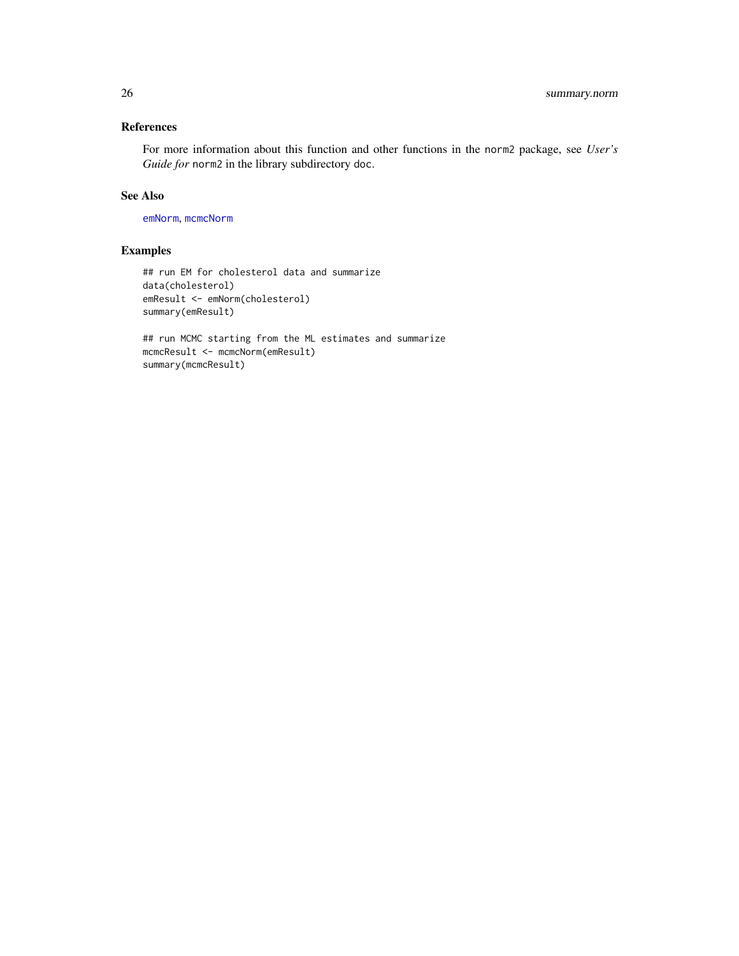## <span id="page-25-0"></span>References

For more information about this function and other functions in the norm2 package, see *User's Guide for* norm2 in the library subdirectory doc.

## See Also

[emNorm](#page-2-1), [mcmcNorm](#page-16-1)

## Examples

```
## run EM for cholesterol data and summarize
data(cholesterol)
emResult <- emNorm(cholesterol)
summary(emResult)
```

```
## run MCMC starting from the ML estimates and summarize
mcmcResult <- mcmcNorm(emResult)
summary(mcmcResult)
```